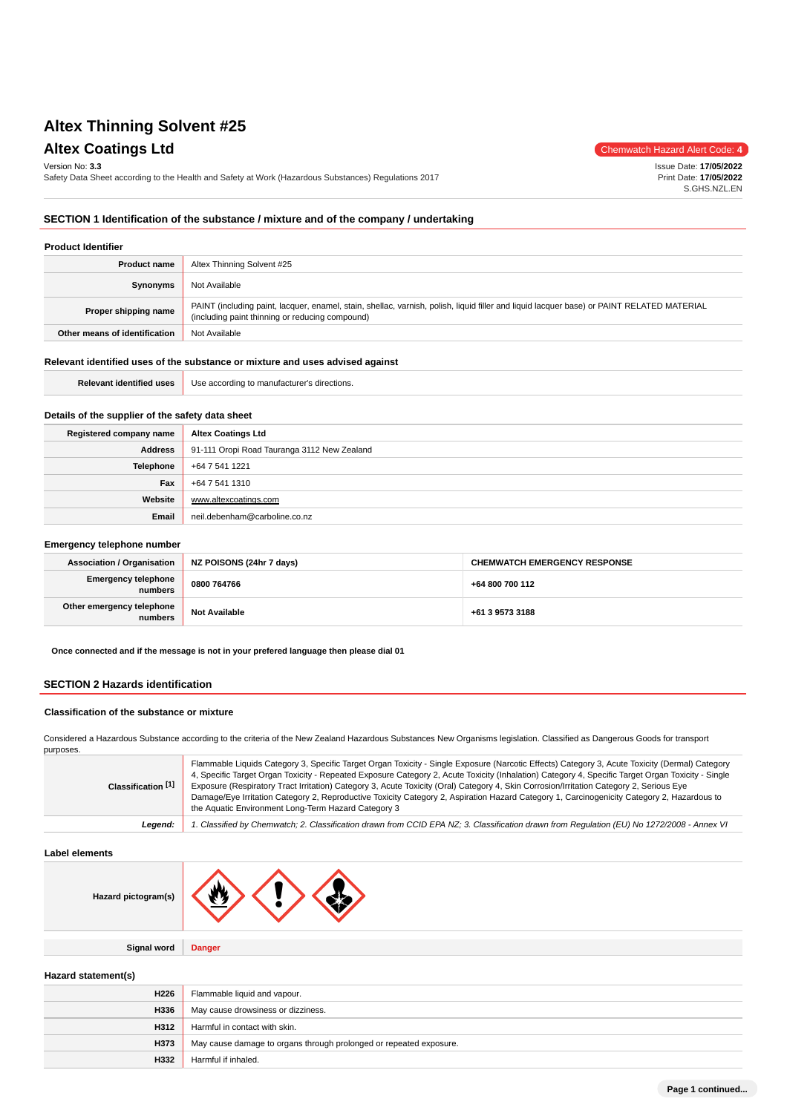Version No: **3.3**

Safety Data Sheet according to the Health and Safety at Work (Hazardous Substances) Regulations 2017

**Altex Coatings Ltd** Chemwatch Hazard Alert Code: 4

Issue Date: **17/05/2022** Print Date: **17/05/2022** S.GHS.NZL.EN

## **SECTION 1 Identification of the substance / mixture and of the company / undertaking**

# **Product Identifier**

| <b>Product name</b>           | Altex Thinning Solvent #25                                                                                                                                                                    |
|-------------------------------|-----------------------------------------------------------------------------------------------------------------------------------------------------------------------------------------------|
| Synonyms                      | Not Available                                                                                                                                                                                 |
| Proper shipping name          | PAINT (including paint, lacquer, enamel, stain, shellac, varnish, polish, liquid filler and liquid lacquer base) or PAINT RELATED MATERIAL<br>(including paint thinning or reducing compound) |
| Other means of identification | Not Available                                                                                                                                                                                 |

#### **Relevant identified uses of the substance or mixture and uses advised against**

| <b>Relevant identified uses</b> | <sup>1</sup> Use according to manufacturer's directions. |
|---------------------------------|----------------------------------------------------------|
|---------------------------------|----------------------------------------------------------|

# **Details of the supplier of the safety data sheet**

| Registered company name | <b>Altex Coatings Ltd</b>                   |  |  |
|-------------------------|---------------------------------------------|--|--|
| Address                 | 91-111 Oropi Road Tauranga 3112 New Zealand |  |  |
| Telephone               | +64 7 541 1221                              |  |  |
| Fax                     | +64 7 541 1310                              |  |  |
| Website                 | www.altexcoatings.com                       |  |  |
| Email                   | neil.debenham@carboline.co.nz               |  |  |

#### **Emergency telephone number**

| <b>Association / Organisation</b>     | NZ POISONS (24hr 7 days) | <b>CHEMWATCH EMERGENCY RESPONSE</b> |
|---------------------------------------|--------------------------|-------------------------------------|
| <b>Emergency telephone</b><br>numbers | 0800 764766              | +64 800 700 112                     |
| Other emergency telephone<br>numbers  | <b>Not Available</b>     | +61 3 9573 3188                     |

**Once connected and if the message is not in your prefered language then please dial 01**

#### **SECTION 2 Hazards identification**

#### **Classification of the substance or mixture**

Considered a Hazardous Substance according to the criteria of the New Zealand Hazardous Substances New Organisms legislation. Classified as Dangerous Goods for transport purposes.

| Classification <sup>[1]</sup> | Flammable Liquids Category 3, Specific Target Organ Toxicity - Single Exposure (Narcotic Effects) Category 3, Acute Toxicity (Dermal) Category<br>4, Specific Target Organ Toxicity - Repeated Exposure Category 2, Acute Toxicity (Inhalation) Category 4, Specific Target Organ Toxicity - Single<br>Exposure (Respiratory Tract Irritation) Category 3, Acute Toxicity (Oral) Category 4, Skin Corrosion/Irritation Category 2, Serious Eye<br>Damage/Eye Irritation Category 2, Reproductive Toxicity Category 2, Aspiration Hazard Category 1, Carcinogenicity Category 2, Hazardous to<br>the Aquatic Environment Long-Term Hazard Category 3 |
|-------------------------------|-----------------------------------------------------------------------------------------------------------------------------------------------------------------------------------------------------------------------------------------------------------------------------------------------------------------------------------------------------------------------------------------------------------------------------------------------------------------------------------------------------------------------------------------------------------------------------------------------------------------------------------------------------|
| Leaend:                       | 1. Classified by Chemwatch; 2. Classification drawn from CCID EPA NZ; 3. Classification drawn from Regulation (EU) No 1272/2008 - Annex VI                                                                                                                                                                                                                                                                                                                                                                                                                                                                                                          |

**Label elements**

| Hazard pictogram(s) | W.<br><b>V</b><br>$\mathbf{r}$ |
|---------------------|--------------------------------|
|                     |                                |
| <b>Signal word</b>  | <b>Danger</b>                  |

# **Hazard statement(s)**

| H226 | Flammable liquid and vapour.                                       |  |  |
|------|--------------------------------------------------------------------|--|--|
| H336 | May cause drowsiness or dizziness.                                 |  |  |
| H312 | Harmful in contact with skin.                                      |  |  |
| H373 | May cause damage to organs through prolonged or repeated exposure. |  |  |
| H332 | Harmful if inhaled.                                                |  |  |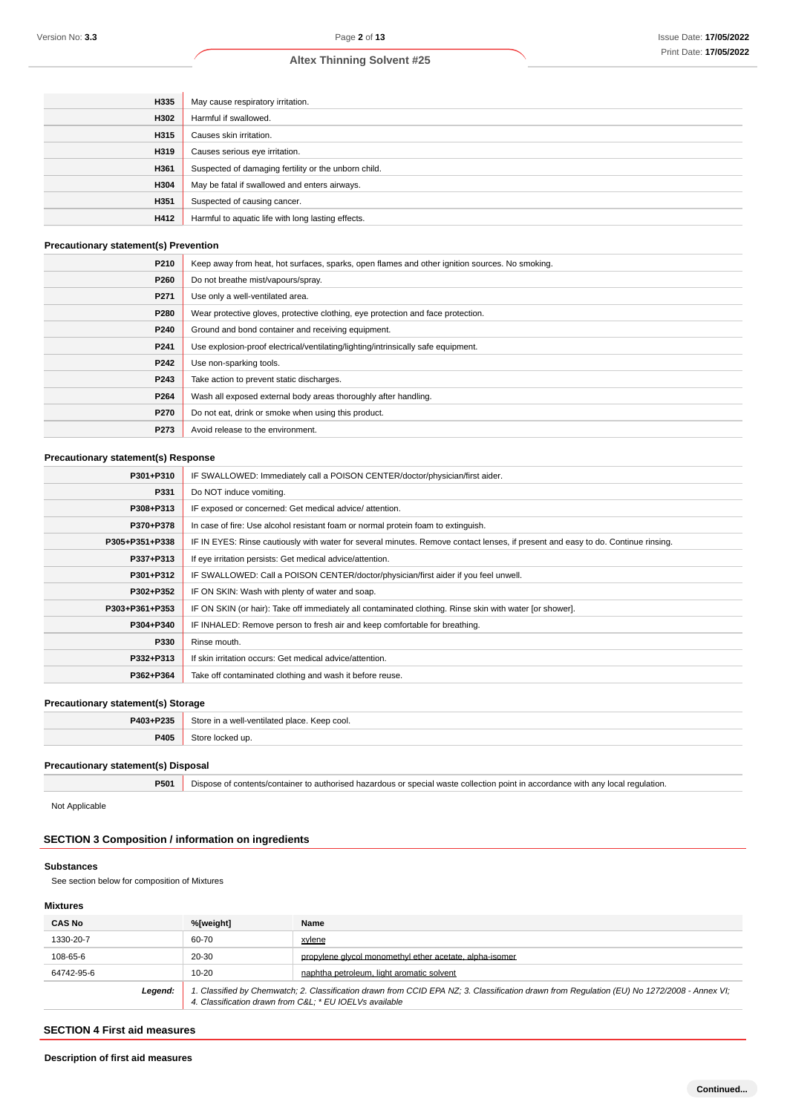| H335 | May cause respiratory irritation.                    |  |
|------|------------------------------------------------------|--|
| H302 | Harmful if swallowed.                                |  |
| H315 | Causes skin irritation.                              |  |
| H319 | Causes serious eye irritation.                       |  |
| H361 | Suspected of damaging fertility or the unborn child. |  |
| H304 | May be fatal if swallowed and enters airways.        |  |
| H351 | Suspected of causing cancer.                         |  |
| H412 | Harmful to aquatic life with long lasting effects.   |  |

# **Precautionary statement(s) Prevention**

| P210 | Keep away from heat, hot surfaces, sparks, open flames and other ignition sources. No smoking. |  |  |
|------|------------------------------------------------------------------------------------------------|--|--|
| P260 | Do not breathe mist/vapours/spray.                                                             |  |  |
| P271 | Use only a well-ventilated area.                                                               |  |  |
| P280 | Wear protective gloves, protective clothing, eye protection and face protection.               |  |  |
| P240 | Ground and bond container and receiving equipment.                                             |  |  |
| P241 | Use explosion-proof electrical/ventilating/lighting/intrinsically safe equipment.              |  |  |
| P242 | Use non-sparking tools.                                                                        |  |  |
| P243 | Take action to prevent static discharges.                                                      |  |  |
| P264 | Wash all exposed external body areas thoroughly after handling.                                |  |  |
| P270 | Do not eat, drink or smoke when using this product.                                            |  |  |
| P273 | Avoid release to the environment.                                                              |  |  |

# **Precautionary statement(s) Response**

| P301+P310      | IF SWALLOWED: Immediately call a POISON CENTER/doctor/physician/first aider.                                                     |  |  |
|----------------|----------------------------------------------------------------------------------------------------------------------------------|--|--|
| P331           | Do NOT induce vomiting.                                                                                                          |  |  |
| P308+P313      | IF exposed or concerned: Get medical advice/attention.                                                                           |  |  |
| P370+P378      | In case of fire: Use alcohol resistant foam or normal protein foam to extinguish.                                                |  |  |
| P305+P351+P338 | IF IN EYES: Rinse cautiously with water for several minutes. Remove contact lenses, if present and easy to do. Continue rinsing. |  |  |
| P337+P313      | If eye irritation persists: Get medical advice/attention.                                                                        |  |  |
| P301+P312      | IF SWALLOWED: Call a POISON CENTER/doctor/physician/first aider if you feel unwell.                                              |  |  |
| P302+P352      | IF ON SKIN: Wash with plenty of water and soap.                                                                                  |  |  |
| P303+P361+P353 | IF ON SKIN (or hair): Take off immediately all contaminated clothing. Rinse skin with water [or shower].                         |  |  |
| P304+P340      | IF INHALED: Remove person to fresh air and keep comfortable for breathing.                                                       |  |  |
| P330           | Rinse mouth.                                                                                                                     |  |  |
| P332+P313      | If skin irritation occurs: Get medical advice/attention.                                                                         |  |  |
| P362+P364      | Take off contaminated clothing and wash it before reuse.                                                                         |  |  |
|                |                                                                                                                                  |  |  |

# **Precautionary statement(s) Storage**

| P403+P235 | Store in a well-ventilated place. Keep cool. |  |
|-----------|----------------------------------------------|--|
| P405      | ≌t∩ri<br>ked up                              |  |

# **Precautionary statement(s) Disposal**

**P501** Dispose of contents/container to authorised hazardous or special waste collection point in accordance with any local regulation.

Not Applicable

# **SECTION 3 Composition / information on ingredients**

#### **Substances**

See section below for composition of Mixtures

# **Mixtures**

| <b>CAS No</b> | %[weight]                                                                                                                                                                                             | Name                                                    |
|---------------|-------------------------------------------------------------------------------------------------------------------------------------------------------------------------------------------------------|---------------------------------------------------------|
| 1330-20-7     | 60-70                                                                                                                                                                                                 | xylene                                                  |
| 108-65-6      | 20-30                                                                                                                                                                                                 | propylene givcol monomethyl ether acetate, alpha-isomer |
| 64742-95-6    | $10 - 20$                                                                                                                                                                                             | naphtha petroleum. light aromatic solvent               |
| Legend:       | 1. Classified by Chemwatch; 2. Classification drawn from CCID EPA NZ; 3. Classification drawn from Regulation (EU) No 1272/2008 - Annex VI;<br>4. Classification drawn from C&L * EU IOELVs available |                                                         |

# **SECTION 4 First aid measures**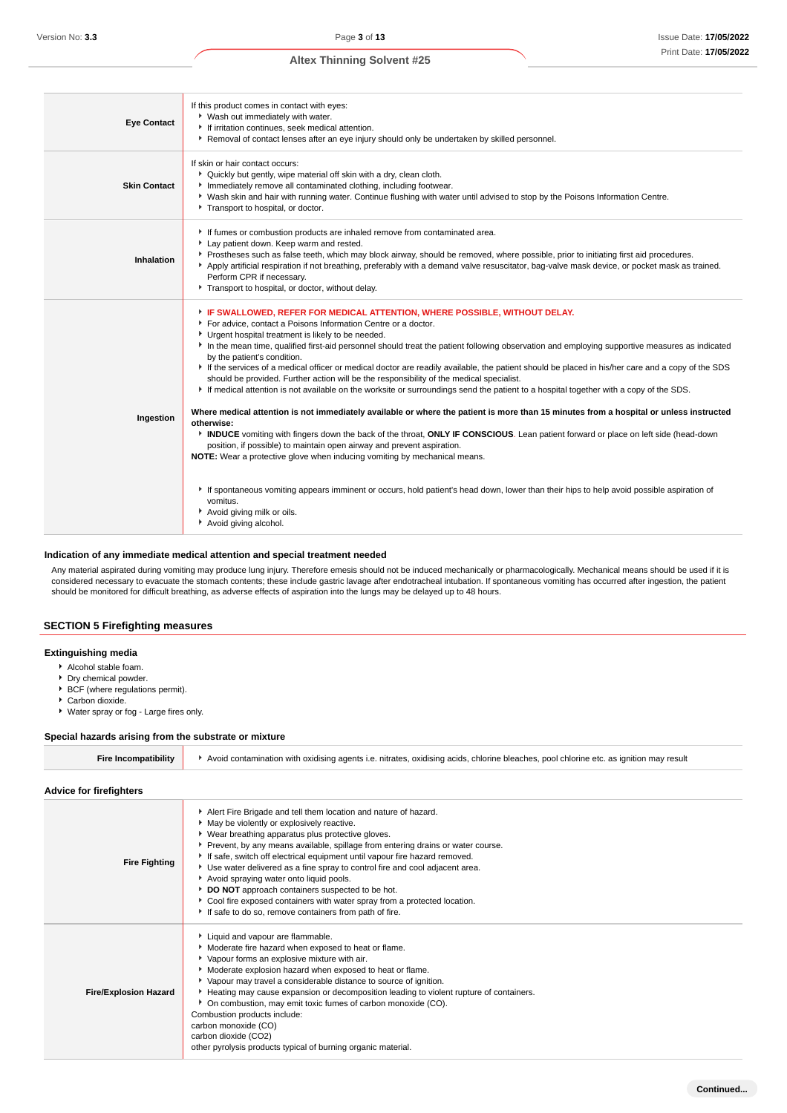| <b>Eye Contact</b>  | If this product comes in contact with eyes:<br>▶ Wash out immediately with water.<br>If irritation continues, seek medical attention.<br>▶ Removal of contact lenses after an eye injury should only be undertaken by skilled personnel.                                                                                                                                                                                                                                                                                                                                                                                                                                                                                                                                                                                                                                                                                                                                                                                                                                                                                                                                                                                                                                                                                                                                                                                                       |
|---------------------|------------------------------------------------------------------------------------------------------------------------------------------------------------------------------------------------------------------------------------------------------------------------------------------------------------------------------------------------------------------------------------------------------------------------------------------------------------------------------------------------------------------------------------------------------------------------------------------------------------------------------------------------------------------------------------------------------------------------------------------------------------------------------------------------------------------------------------------------------------------------------------------------------------------------------------------------------------------------------------------------------------------------------------------------------------------------------------------------------------------------------------------------------------------------------------------------------------------------------------------------------------------------------------------------------------------------------------------------------------------------------------------------------------------------------------------------|
| <b>Skin Contact</b> | If skin or hair contact occurs:<br>• Quickly but gently, wipe material off skin with a dry, clean cloth.<br>Inmediately remove all contaminated clothing, including footwear.<br>▶ Wash skin and hair with running water. Continue flushing with water until advised to stop by the Poisons Information Centre.<br>Transport to hospital, or doctor.                                                                                                                                                                                                                                                                                                                                                                                                                                                                                                                                                                                                                                                                                                                                                                                                                                                                                                                                                                                                                                                                                           |
| Inhalation          | If fumes or combustion products are inhaled remove from contaminated area.<br>Lay patient down. Keep warm and rested.<br>▶ Prostheses such as false teeth, which may block airway, should be removed, where possible, prior to initiating first aid procedures.<br>Apply artificial respiration if not breathing, preferably with a demand valve resuscitator, bag-valve mask device, or pocket mask as trained.<br>Perform CPR if necessary.<br>Transport to hospital, or doctor, without delay.                                                                                                                                                                                                                                                                                                                                                                                                                                                                                                                                                                                                                                                                                                                                                                                                                                                                                                                                              |
| Ingestion           | F IF SWALLOWED, REFER FOR MEDICAL ATTENTION, WHERE POSSIBLE, WITHOUT DELAY.<br>For advice, contact a Poisons Information Centre or a doctor.<br>Urgent hospital treatment is likely to be needed.<br>In the mean time, qualified first-aid personnel should treat the patient following observation and employing supportive measures as indicated<br>by the patient's condition.<br>If the services of a medical officer or medical doctor are readily available, the patient should be placed in his/her care and a copy of the SDS<br>should be provided. Further action will be the responsibility of the medical specialist.<br>If medical attention is not available on the worksite or surroundings send the patient to a hospital together with a copy of the SDS.<br>Where medical attention is not immediately available or where the patient is more than 15 minutes from a hospital or unless instructed<br>otherwise:<br>INDUCE vomiting with fingers down the back of the throat, ONLY IF CONSCIOUS. Lean patient forward or place on left side (head-down<br>position, if possible) to maintain open airway and prevent aspiration.<br>NOTE: Wear a protective glove when inducing vomiting by mechanical means.<br>If spontaneous vomiting appears imminent or occurs, hold patient's head down, lower than their hips to help avoid possible aspiration of<br>vomitus.<br>Avoid giving milk or oils.<br>Avoid giving alcohol. |

#### **Indication of any immediate medical attention and special treatment needed**

Any material aspirated during vomiting may produce lung injury. Therefore emesis should not be induced mechanically or pharmacologically. Mechanical means should be used if it is considered necessary to evacuate the stomach contents; these include gastric lavage after endotracheal intubation. If spontaneous vomiting has occurred after ingestion, the patient should be monitored for difficult breathing, as adverse effects of aspiration into the lungs may be delayed up to 48 hours.

# **SECTION 5 Firefighting measures**

#### **Extinguishing media**

- Alcohol stable foam.
- **Dry chemical powder.**
- ▶ BCF (where regulations permit).
- Carbon dioxide.
- Water spray or fog Large fires only.

#### **Special hazards arising from the substrate or mixture**

| <b>Fire Incompatibility</b> | Avoid contamination with oxidising agents i.e. nitrates, oxidising acids, chlorine bleaches, pool chlorine etc. as ignition may result |
|-----------------------------|----------------------------------------------------------------------------------------------------------------------------------------|
|-----------------------------|----------------------------------------------------------------------------------------------------------------------------------------|

# **Advice for firefighters**

| <b>Fire Fighting</b>         | Alert Fire Brigade and tell them location and nature of hazard.<br>May be violently or explosively reactive.<br>• Wear breathing apparatus plus protective gloves.<br>Prevent, by any means available, spillage from entering drains or water course.<br>If safe, switch off electrical equipment until vapour fire hazard removed.<br>▶ Use water delivered as a fine spray to control fire and cool adjacent area.<br>Avoid spraying water onto liquid pools.<br>DO NOT approach containers suspected to be hot.<br>Cool fire exposed containers with water spray from a protected location.<br>If safe to do so, remove containers from path of fire. |
|------------------------------|----------------------------------------------------------------------------------------------------------------------------------------------------------------------------------------------------------------------------------------------------------------------------------------------------------------------------------------------------------------------------------------------------------------------------------------------------------------------------------------------------------------------------------------------------------------------------------------------------------------------------------------------------------|
| <b>Fire/Explosion Hazard</b> | Liquid and vapour are flammable.<br>Moderate fire hazard when exposed to heat or flame.<br>Vapour forms an explosive mixture with air.<br>• Moderate explosion hazard when exposed to heat or flame.<br>▶ Vapour may travel a considerable distance to source of ignition.<br>Heating may cause expansion or decomposition leading to violent rupture of containers.<br>• On combustion, may emit toxic fumes of carbon monoxide (CO).<br>Combustion products include:<br>carbon monoxide (CO)<br>carbon dioxide (CO2)<br>other pyrolysis products typical of burning organic material.                                                                  |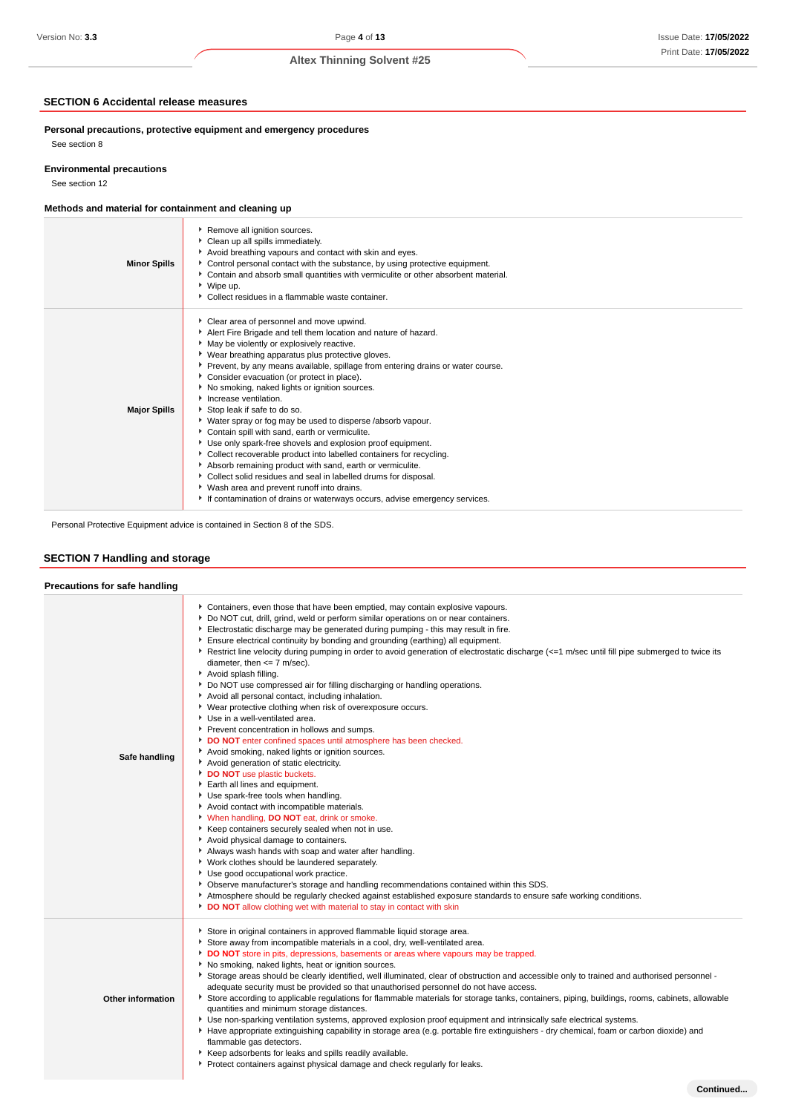# **SECTION 6 Accidental release measures**

**Personal precautions, protective equipment and emergency procedures** See section 8

# **Environmental precautions**

See section 12

# **Methods and material for containment and cleaning up**

| <b>Minor Spills</b> | Remove all ignition sources.<br>Clean up all spills immediately.<br>Avoid breathing vapours and contact with skin and eyes.<br>Control personal contact with the substance, by using protective equipment.<br>Contain and absorb small quantities with vermiculite or other absorbent material.<br>▶ Wipe up.<br>• Collect residues in a flammable waste container.                                                                                                                                                                                                                                                                                                                                                                                                                                                                                                                                                                                                              |
|---------------------|----------------------------------------------------------------------------------------------------------------------------------------------------------------------------------------------------------------------------------------------------------------------------------------------------------------------------------------------------------------------------------------------------------------------------------------------------------------------------------------------------------------------------------------------------------------------------------------------------------------------------------------------------------------------------------------------------------------------------------------------------------------------------------------------------------------------------------------------------------------------------------------------------------------------------------------------------------------------------------|
| <b>Major Spills</b> | Clear area of personnel and move upwind.<br>Alert Fire Brigade and tell them location and nature of hazard.<br>May be violently or explosively reactive.<br>▶ Wear breathing apparatus plus protective gloves.<br>▶ Prevent, by any means available, spillage from entering drains or water course.<br>Consider evacuation (or protect in place).<br>No smoking, naked lights or ignition sources.<br>Increase ventilation.<br>Stop leak if safe to do so.<br>• Water spray or fog may be used to disperse /absorb vapour.<br>Contain spill with sand, earth or vermiculite.<br>Use only spark-free shovels and explosion proof equipment.<br>• Collect recoverable product into labelled containers for recycling.<br>Absorb remaining product with sand, earth or vermiculite.<br>Collect solid residues and seal in labelled drums for disposal.<br>▶ Wash area and prevent runoff into drains.<br>If contamination of drains or waterways occurs, advise emergency services. |

Personal Protective Equipment advice is contained in Section 8 of the SDS.

# **SECTION 7 Handling and storage**

#### **Precautions for safe handling**

| Safe handling     | Containers, even those that have been emptied, may contain explosive vapours.<br>▶ Do NOT cut, drill, grind, weld or perform similar operations on or near containers.<br>Electrostatic discharge may be generated during pumping - this may result in fire.<br>Ensure electrical continuity by bonding and grounding (earthing) all equipment.<br>Restrict line velocity during pumping in order to avoid generation of electrostatic discharge (<=1 m/sec until fill pipe submerged to twice its<br>diameter, then $\leq$ 7 m/sec).<br>Avoid splash filling.<br>▶ Do NOT use compressed air for filling discharging or handling operations.<br>Avoid all personal contact, including inhalation.<br>• Wear protective clothing when risk of overexposure occurs.<br>Use in a well-ventilated area.<br>Prevent concentration in hollows and sumps.<br>DO NOT enter confined spaces until atmosphere has been checked.<br>Avoid smoking, naked lights or ignition sources.<br>Avoid generation of static electricity.<br>DO NOT use plastic buckets.<br>Earth all lines and equipment.<br>Use spark-free tools when handling.<br>Avoid contact with incompatible materials.<br>V When handling, DO NOT eat, drink or smoke.<br>Keep containers securely sealed when not in use.<br>Avoid physical damage to containers.<br>Always wash hands with soap and water after handling.<br>• Work clothes should be laundered separately.<br>Use good occupational work practice.<br>▶ Observe manufacturer's storage and handling recommendations contained within this SDS.<br>Atmosphere should be regularly checked against established exposure standards to ensure safe working conditions.<br>DO NOT allow clothing wet with material to stay in contact with skin |
|-------------------|--------------------------------------------------------------------------------------------------------------------------------------------------------------------------------------------------------------------------------------------------------------------------------------------------------------------------------------------------------------------------------------------------------------------------------------------------------------------------------------------------------------------------------------------------------------------------------------------------------------------------------------------------------------------------------------------------------------------------------------------------------------------------------------------------------------------------------------------------------------------------------------------------------------------------------------------------------------------------------------------------------------------------------------------------------------------------------------------------------------------------------------------------------------------------------------------------------------------------------------------------------------------------------------------------------------------------------------------------------------------------------------------------------------------------------------------------------------------------------------------------------------------------------------------------------------------------------------------------------------------------------------------------------------------------------------------------------------------------------------------------------------------|
| Other information | Store in original containers in approved flammable liquid storage area.<br>Store away from incompatible materials in a cool, dry, well-ventilated area.<br>DO NOT store in pits, depressions, basements or areas where vapours may be trapped.<br>No smoking, naked lights, heat or ignition sources.<br>▶ Storage areas should be clearly identified, well illuminated, clear of obstruction and accessible only to trained and authorised personnel -<br>adequate security must be provided so that unauthorised personnel do not have access.<br>Store according to applicable regulations for flammable materials for storage tanks, containers, piping, buildings, rooms, cabinets, allowable<br>quantities and minimum storage distances.<br>> Use non-sparking ventilation systems, approved explosion proof equipment and intrinsically safe electrical systems.<br>Have appropriate extinguishing capability in storage area (e.g. portable fire extinguishers - dry chemical, foam or carbon dioxide) and<br>flammable gas detectors.<br>Keep adsorbents for leaks and spills readily available.<br>Protect containers against physical damage and check regularly for leaks.                                                                                                                                                                                                                                                                                                                                                                                                                                                                                                                                                                            |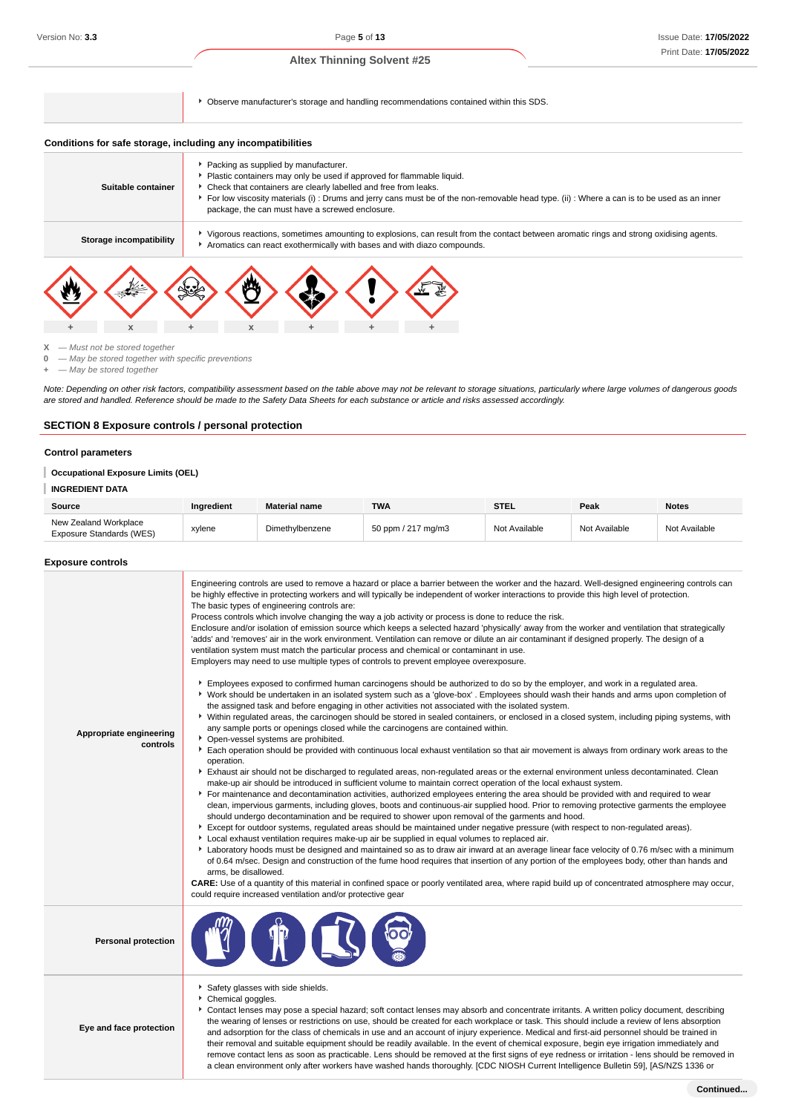Observe manufacturer's storage and handling recommendations contained within this SDS.

#### **Conditions for safe storage, including any incompatibilities**

| Suitable container      | Packing as supplied by manufacturer.<br>Check that containers are clearly labelled and free from leaks.<br>package, the can must have a screwed enclosure. |  | Plastic containers may only be used if approved for flammable liquid.<br>For low viscosity materials (i): Drums and jerry cans must be of the non-removable head type. (ii): Where a can is to be used as an inner |  |
|-------------------------|------------------------------------------------------------------------------------------------------------------------------------------------------------|--|--------------------------------------------------------------------------------------------------------------------------------------------------------------------------------------------------------------------|--|
| Storage incompatibility |                                                                                                                                                            |  | Vigorous reactions, sometimes amounting to explosions, can result from the contact between aromatic rings and strong oxidising agents.<br>Aromatics can react exothermically with bases and with diazo compounds.  |  |
|                         |                                                                                                                                                            |  |                                                                                                                                                                                                                    |  |



**X** — Must not be stored together

**0** — May be stored together with specific preventions

**+** — May be stored together

Note: Depending on other risk factors, compatibility assessment based on the table above may not be relevant to storage situations, particularly where large volumes of dangerous goods are stored and handled. Reference should be made to the Safety Data Sheets for each substance or article and risks assessed accordingly.

# **SECTION 8 Exposure controls / personal protection**

#### **Control parameters**

# **Occupational Exposure Limits (OEL)**

#### **INGREDIENT DATA**

| Source                                            | Ingredient | <b>Material name</b> | <b>TWA</b>         | <b>STEL</b>   | Peak          | <b>Notes</b>  |
|---------------------------------------------------|------------|----------------------|--------------------|---------------|---------------|---------------|
| New Zealand Workplace<br>Exposure Standards (WES) | xylene     | Dimethylbenzene      | 50 ppm / 217 mg/m3 | Not Available | Not Available | Not Available |

#### **Exposure controls**

| Appropriate engineering<br>controls | Engineering controls are used to remove a hazard or place a barrier between the worker and the hazard. Well-designed engineering controls can<br>be highly effective in protecting workers and will typically be independent of worker interactions to provide this high level of protection.<br>The basic types of engineering controls are:<br>Process controls which involve changing the way a job activity or process is done to reduce the risk.<br>Enclosure and/or isolation of emission source which keeps a selected hazard 'physically' away from the worker and ventilation that strategically<br>'adds' and 'removes' air in the work environment. Ventilation can remove or dilute an air contaminant if designed properly. The design of a<br>ventilation system must match the particular process and chemical or contaminant in use.<br>Employers may need to use multiple types of controls to prevent employee overexposure.<br>Employees exposed to confirmed human carcinogens should be authorized to do so by the employer, and work in a regulated area.<br>▶ Work should be undertaken in an isolated system such as a 'glove-box' . Employees should wash their hands and arms upon completion of<br>the assigned task and before engaging in other activities not associated with the isolated system.<br>▶ Within regulated areas, the carcinogen should be stored in sealed containers, or enclosed in a closed system, including piping systems, with<br>any sample ports or openings closed while the carcinogens are contained within.<br>• Open-vessel systems are prohibited.<br>Each operation should be provided with continuous local exhaust ventilation so that air movement is always from ordinary work areas to the<br>operation.<br>Exhaust air should not be discharged to regulated areas, non-regulated areas or the external environment unless decontaminated. Clean<br>make-up air should be introduced in sufficient volume to maintain correct operation of the local exhaust system.<br>For maintenance and decontamination activities, authorized employees entering the area should be provided with and required to wear<br>clean, impervious garments, including gloves, boots and continuous-air supplied hood. Prior to removing protective garments the employee<br>should undergo decontamination and be required to shower upon removal of the garments and hood.<br>Except for outdoor systems, regulated areas should be maintained under negative pressure (with respect to non-regulated areas).<br>Local exhaust ventilation requires make-up air be supplied in equal volumes to replaced air.<br>Laboratory hoods must be designed and maintained so as to draw air inward at an average linear face velocity of 0.76 m/sec with a minimum<br>of 0.64 m/sec. Design and construction of the fume hood requires that insertion of any portion of the employees body, other than hands and<br>arms, be disallowed.<br>CARE: Use of a quantity of this material in confined space or poorly ventilated area, where rapid build up of concentrated atmosphere may occur,<br>could require increased ventilation and/or protective gear |
|-------------------------------------|--------------------------------------------------------------------------------------------------------------------------------------------------------------------------------------------------------------------------------------------------------------------------------------------------------------------------------------------------------------------------------------------------------------------------------------------------------------------------------------------------------------------------------------------------------------------------------------------------------------------------------------------------------------------------------------------------------------------------------------------------------------------------------------------------------------------------------------------------------------------------------------------------------------------------------------------------------------------------------------------------------------------------------------------------------------------------------------------------------------------------------------------------------------------------------------------------------------------------------------------------------------------------------------------------------------------------------------------------------------------------------------------------------------------------------------------------------------------------------------------------------------------------------------------------------------------------------------------------------------------------------------------------------------------------------------------------------------------------------------------------------------------------------------------------------------------------------------------------------------------------------------------------------------------------------------------------------------------------------------------------------------------------------------------------------------------------------------------------------------------------------------------------------------------------------------------------------------------------------------------------------------------------------------------------------------------------------------------------------------------------------------------------------------------------------------------------------------------------------------------------------------------------------------------------------------------------------------------------------------------------------------------------------------------------------------------------------------------------------------------------------------------------------------------------------------------------------------------------------------------------------------------------------------------------------------------------------------------------------------------------------------------------------------------------------------------------------------------------------------------------------------------------------------------------------------------------------|
| <b>Personal protection</b>          |                                                                                                                                                                                                                                                                                                                                                                                                                                                                                                                                                                                                                                                                                                                                                                                                                                                                                                                                                                                                                                                                                                                                                                                                                                                                                                                                                                                                                                                                                                                                                                                                                                                                                                                                                                                                                                                                                                                                                                                                                                                                                                                                                                                                                                                                                                                                                                                                                                                                                                                                                                                                                                                                                                                                                                                                                                                                                                                                                                                                                                                                                                                                                                                                        |
| Eye and face protection             | Safety glasses with side shields.<br>Chemical goggles.<br>Contact lenses may pose a special hazard; soft contact lenses may absorb and concentrate irritants. A written policy document, describing<br>the wearing of lenses or restrictions on use, should be created for each workplace or task. This should include a review of lens absorption<br>and adsorption for the class of chemicals in use and an account of injury experience. Medical and first-aid personnel should be trained in<br>their removal and suitable equipment should be readily available. In the event of chemical exposure, begin eye irrigation immediately and<br>remove contact lens as soon as practicable. Lens should be removed at the first signs of eye redness or irritation - lens should be removed in                                                                                                                                                                                                                                                                                                                                                                                                                                                                                                                                                                                                                                                                                                                                                                                                                                                                                                                                                                                                                                                                                                                                                                                                                                                                                                                                                                                                                                                                                                                                                                                                                                                                                                                                                                                                                                                                                                                                                                                                                                                                                                                                                                                                                                                                                                                                                                                                        |

a clean environment only after workers have washed hands thoroughly. [CDC NIOSH Current Intelligence Bulletin 59], [AS/NZS 1336 or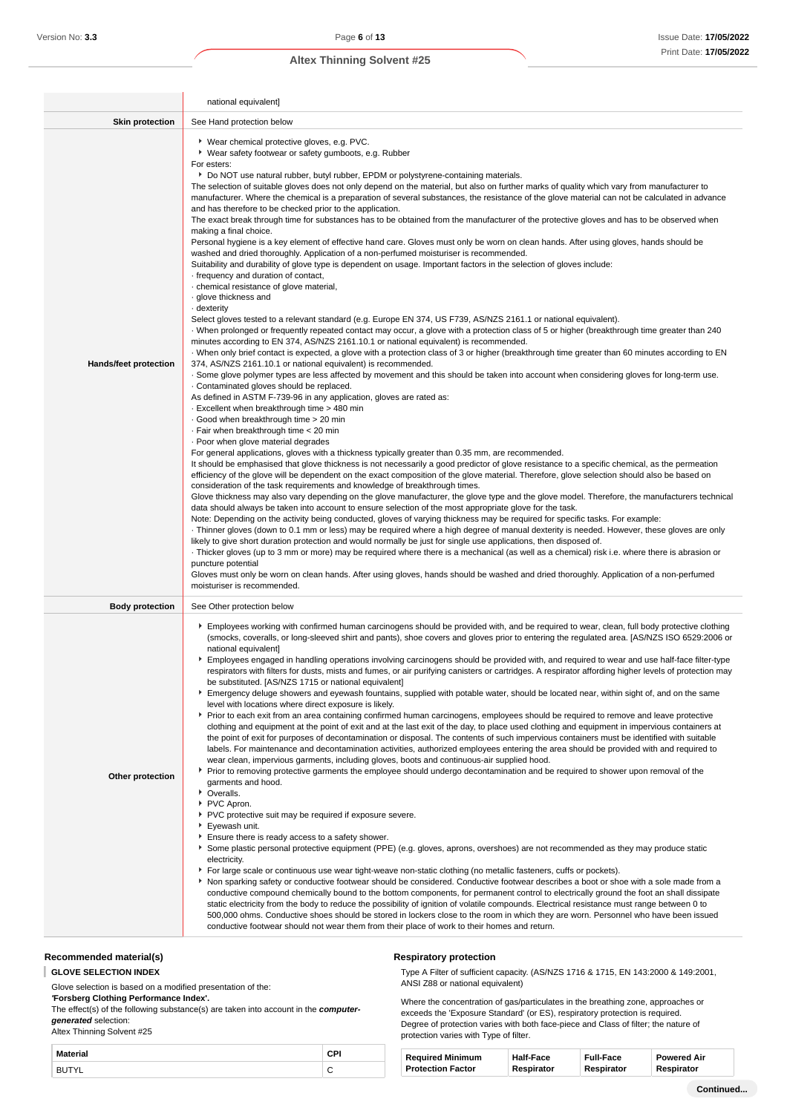|                        | national equivalent]                                                                                                                                                                                                                                                                                                                                                                                                                                                                                                                                                                                                                                                                                                                                                                                                                                                                                                                                                                                                                                                                                                                                                                                                                                                                                                                                                                                                                                                                                                                                                                                                                                                                                                                                                                                                                                                                                                                                                                                                                                                                                                                                                                                                                                                                                                                                                                                                                                                                                                                                                                                                                                                                                                                                                                                                                                                                                                                                                                                                                                                                                                                                                                                                                                                                                                                                                                                                                                                                                                                                                                                                                                                                                                                                                        |
|------------------------|-----------------------------------------------------------------------------------------------------------------------------------------------------------------------------------------------------------------------------------------------------------------------------------------------------------------------------------------------------------------------------------------------------------------------------------------------------------------------------------------------------------------------------------------------------------------------------------------------------------------------------------------------------------------------------------------------------------------------------------------------------------------------------------------------------------------------------------------------------------------------------------------------------------------------------------------------------------------------------------------------------------------------------------------------------------------------------------------------------------------------------------------------------------------------------------------------------------------------------------------------------------------------------------------------------------------------------------------------------------------------------------------------------------------------------------------------------------------------------------------------------------------------------------------------------------------------------------------------------------------------------------------------------------------------------------------------------------------------------------------------------------------------------------------------------------------------------------------------------------------------------------------------------------------------------------------------------------------------------------------------------------------------------------------------------------------------------------------------------------------------------------------------------------------------------------------------------------------------------------------------------------------------------------------------------------------------------------------------------------------------------------------------------------------------------------------------------------------------------------------------------------------------------------------------------------------------------------------------------------------------------------------------------------------------------------------------------------------------------------------------------------------------------------------------------------------------------------------------------------------------------------------------------------------------------------------------------------------------------------------------------------------------------------------------------------------------------------------------------------------------------------------------------------------------------------------------------------------------------------------------------------------------------------------------------------------------------------------------------------------------------------------------------------------------------------------------------------------------------------------------------------------------------------------------------------------------------------------------------------------------------------------------------------------------------------------------------------------------------------------------------------------------------|
| <b>Skin protection</b> | See Hand protection below                                                                                                                                                                                                                                                                                                                                                                                                                                                                                                                                                                                                                                                                                                                                                                                                                                                                                                                                                                                                                                                                                                                                                                                                                                                                                                                                                                                                                                                                                                                                                                                                                                                                                                                                                                                                                                                                                                                                                                                                                                                                                                                                                                                                                                                                                                                                                                                                                                                                                                                                                                                                                                                                                                                                                                                                                                                                                                                                                                                                                                                                                                                                                                                                                                                                                                                                                                                                                                                                                                                                                                                                                                                                                                                                                   |
| Hands/feet protection  | ▶ Wear chemical protective gloves, e.g. PVC.<br>▶ Wear safety footwear or safety gumboots, e.g. Rubber<br>For esters:<br>▶ Do NOT use natural rubber, butyl rubber, EPDM or polystyrene-containing materials.<br>The selection of suitable gloves does not only depend on the material, but also on further marks of quality which vary from manufacturer to<br>manufacturer. Where the chemical is a preparation of several substances, the resistance of the glove material can not be calculated in advance<br>and has therefore to be checked prior to the application.<br>The exact break through time for substances has to be obtained from the manufacturer of the protective gloves and has to be observed when<br>making a final choice.<br>Personal hygiene is a key element of effective hand care. Gloves must only be worn on clean hands. After using gloves, hands should be<br>washed and dried thoroughly. Application of a non-perfumed moisturiser is recommended.<br>Suitability and durability of glove type is dependent on usage. Important factors in the selection of gloves include:<br>frequency and duration of contact,<br>· chemical resistance of glove material,<br>· glove thickness and<br>- dexterity<br>Select gloves tested to a relevant standard (e.g. Europe EN 374, US F739, AS/NZS 2161.1 or national equivalent).<br>When prolonged or frequently repeated contact may occur, a glove with a protection class of 5 or higher (breakthrough time greater than 240<br>minutes according to EN 374, AS/NZS 2161.10.1 or national equivalent) is recommended.<br>When only brief contact is expected, a glove with a protection class of 3 or higher (breakthrough time greater than 60 minutes according to EN<br>374, AS/NZS 2161.10.1 or national equivalent) is recommended.<br>. Some glove polymer types are less affected by movement and this should be taken into account when considering gloves for long-term use.<br>. Contaminated gloves should be replaced.<br>As defined in ASTM F-739-96 in any application, gloves are rated as:<br>. Excellent when breakthrough time > 480 min<br>Good when breakthrough time > 20 min<br>. Fair when breakthrough time < 20 min<br>. Poor when glove material degrades<br>For general applications, gloves with a thickness typically greater than 0.35 mm, are recommended.<br>It should be emphasised that glove thickness is not necessarily a good predictor of glove resistance to a specific chemical, as the permeation<br>efficiency of the glove will be dependent on the exact composition of the glove material. Therefore, glove selection should also be based on<br>consideration of the task requirements and knowledge of breakthrough times.<br>Glove thickness may also vary depending on the glove manufacturer, the glove type and the glove model. Therefore, the manufacturers technical<br>data should always be taken into account to ensure selection of the most appropriate glove for the task.<br>Note: Depending on the activity being conducted, gloves of varying thickness may be required for specific tasks. For example:<br>Thinner gloves (down to 0.1 mm or less) may be required where a high degree of manual dexterity is needed. However, these gloves are only<br>likely to give short duration protection and would normally be just for single use applications, then disposed of.<br>Thicker gloves (up to 3 mm or more) may be required where there is a mechanical (as well as a chemical) risk i.e. where there is abrasion or<br>puncture potential<br>Gloves must only be worn on clean hands. After using gloves, hands should be washed and dried thoroughly. Application of a non-perfumed<br>moisturiser is recommended. |
| <b>Body protection</b> | See Other protection below                                                                                                                                                                                                                                                                                                                                                                                                                                                                                                                                                                                                                                                                                                                                                                                                                                                                                                                                                                                                                                                                                                                                                                                                                                                                                                                                                                                                                                                                                                                                                                                                                                                                                                                                                                                                                                                                                                                                                                                                                                                                                                                                                                                                                                                                                                                                                                                                                                                                                                                                                                                                                                                                                                                                                                                                                                                                                                                                                                                                                                                                                                                                                                                                                                                                                                                                                                                                                                                                                                                                                                                                                                                                                                                                                  |
| Other protection       | Employees working with confirmed human carcinogens should be provided with, and be required to wear, clean, full body protective clothing<br>(smocks, coveralls, or long-sleeved shirt and pants), shoe covers and gloves prior to entering the regulated area. [AS/NZS ISO 6529:2006 or<br>national equivalent]<br>Employees engaged in handling operations involving carcinogens should be provided with, and required to wear and use half-face filter-type<br>respirators with filters for dusts, mists and fumes, or air purifying canisters or cartridges. A respirator affording higher levels of protection may<br>be substituted. [AS/NZS 1715 or national equivalent]<br>Emergency deluge showers and eyewash fountains, supplied with potable water, should be located near, within sight of, and on the same<br>level with locations where direct exposure is likely.<br>▶ Prior to each exit from an area containing confirmed human carcinogens, employees should be required to remove and leave protective<br>clothing and equipment at the point of exit and at the last exit of the day, to place used clothing and equipment in impervious containers at<br>the point of exit for purposes of decontamination or disposal. The contents of such impervious containers must be identified with suitable<br>labels. For maintenance and decontamination activities, authorized employees entering the area should be provided with and required to<br>wear clean, impervious garments, including gloves, boots and continuous-air supplied hood.<br>► Prior to removing protective garments the employee should undergo decontamination and be required to shower upon removal of the<br>garments and hood.<br>• Overalls.<br>▶ PVC Apron.<br>▶ PVC protective suit may be required if exposure severe.<br>Eyewash unit.<br>Ensure there is ready access to a safety shower.<br>Some plastic personal protective equipment (PPE) (e.g. gloves, aprons, overshoes) are not recommended as they may produce static<br>electricity.<br>For large scale or continuous use wear tight-weave non-static clothing (no metallic fasteners, cuffs or pockets).<br>Non sparking safety or conductive footwear should be considered. Conductive footwear describes a boot or shoe with a sole made from a<br>conductive compound chemically bound to the bottom components, for permanent control to electrically ground the foot an shall dissipate<br>static electricity from the body to reduce the possibility of ignition of volatile compounds. Electrical resistance must range between 0 to<br>500,000 ohms. Conductive shoes should be stored in lockers close to the room in which they are worn. Personnel who have been issued<br>conductive footwear should not wear them from their place of work to their homes and return.                                                                                                                                                                                                                                                                                                                                                                                                                                                                                                                                                                                                                                                                                                                                                                                                                                                                                                                            |

#### **Recommended material(s)**

**GLOVE SELECTION INDEX** I

Glove selection is based on a modified presentation of the: **'Forsberg Clothing Performance Index'.**

The effect(s) of the following substance(s) are taken into account in the **computergenerated** selection:

Altex Thinning Solvent #25

| <b>Material</b> | <b>CD</b> |
|-----------------|-----------|
| $\cdot$ $-$     | ∽         |
|                 | ◡         |

#### **Respiratory protection**

Type A Filter of sufficient capacity. (AS/NZS 1716 & 1715, EN 143:2000 & 149:2001, ANSI Z88 or national equivalent)

Where the concentration of gas/particulates in the breathing zone, approaches or exceeds the 'Exposure Standard' (or ES), respiratory protection is required. Degree of protection varies with both face-piece and Class of filter; the nature of protection varies with Type of filter.

| Required Minimum         | <b>Half-Face</b> | <b>Full-Face</b> | <b>Powered Air</b> |
|--------------------------|------------------|------------------|--------------------|
| <b>Protection Factor</b> | Respirator       | Respirator       | Respirator         |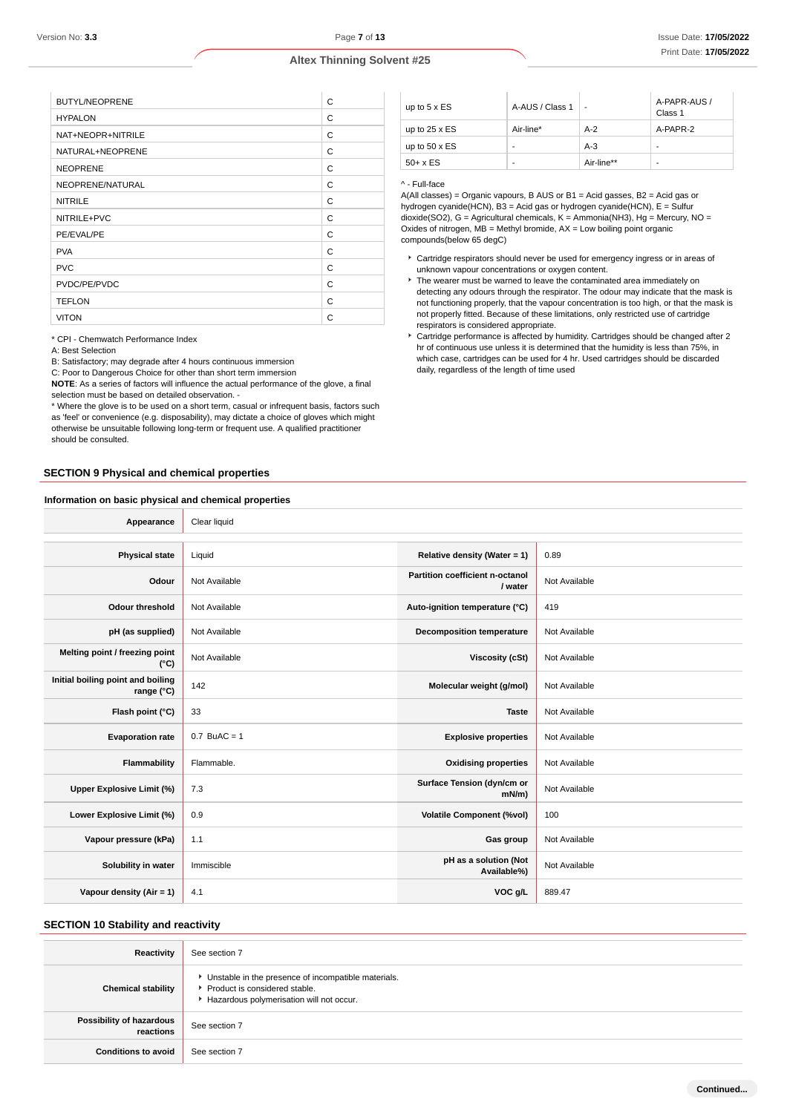| <b>BUTYL/NEOPRENE</b> | C |
|-----------------------|---|
| <b>HYPALON</b>        | C |
| NAT+NEOPR+NITRILE     | C |
| NATURAL+NEOPRENE      | C |
| <b>NEOPRENE</b>       | C |
| NEOPRENE/NATURAL      | C |
| <b>NITRILE</b>        | C |
| NITRILE+PVC           | C |
| PE/EVAL/PE            | C |
| <b>PVA</b>            | C |
| <b>PVC</b>            | C |
| PVDC/PE/PVDC          | C |
| <b>TEFLON</b>         | C |
| <b>VITON</b>          | C |
|                       |   |

\* CPI - Chemwatch Performance Index

A: Best Selection

B: Satisfactory; may degrade after 4 hours continuous immersion

C: Poor to Dangerous Choice for other than short term immersion

**NOTE**: As a series of factors will influence the actual performance of the glove, a final selection must be based on detailed observation -

\* Where the glove is to be used on a short term, casual or infrequent basis, factors such as 'feel' or convenience (e.g. disposability), may dictate a choice of gloves which might otherwise be unsuitable following long-term or frequent use. A qualified practitioner should be consulted.

# **SECTION 9 Physical and chemical properties**

#### **Information on basic physical and chemical properties**

up to  $5 \times ES$   $A-AUS / Class 1$ A-PAPR-AUS / Class 1 up to 25 x ES  $\vert$  Air-line\*  $\vert$  A-2  $\vert$  A-PAPR-2 up to  $50 \times ES$   $\qquad \qquad$   $\qquad$   $\qquad$   $\qquad$   $\qquad$   $\qquad$   $\qquad$   $\qquad$   $\qquad$   $\qquad$   $\qquad$   $\qquad$   $\qquad$   $\qquad$   $\qquad$   $\qquad$   $\qquad$   $\qquad$   $\qquad$   $\qquad$   $\qquad$   $\qquad$   $\qquad$   $\qquad$   $\qquad$   $\qquad$   $\qquad$   $\qquad$   $\qquad$   $\qquad$   $\qquad$   $\qquad$   $\qquad$   $\qquad$   $50 + x ES$  - Air-line\*\*

#### ^ - Full-face

A(All classes) = Organic vapours, B AUS or B1 = Acid gasses, B2 = Acid gas or hydrogen cyanide(HCN), B3 = Acid gas or hydrogen cyanide(HCN), E = Sulfur dioxide(SO2), G = Agricultural chemicals, K = Ammonia(NH3), Hg = Mercury, NO = Oxides of nitrogen,  $MB = M$ ethyl bromide,  $AX = Low$  boiling point organic compounds(below 65 degC)

- Cartridge respirators should never be used for emergency ingress or in areas of unknown vapour concentrations or oxygen content.
- $\blacktriangleright$  The wearer must be warned to leave the contaminated area immediately on detecting any odours through the respirator. The odour may indicate that the mask is not functioning properly, that the vapour concentration is too high, or that the mask is not properly fitted. Because of these limitations, only restricted use of cartridge respirators is considered appropriate.
- Cartridge performance is affected by humidity. Cartridges should be changed after 2 hr of continuous use unless it is determined that the humidity is less than 75%, in which case, cartridges can be used for 4 hr. Used cartridges should be discarded daily, regardless of the length of time used

| Appearance                                      | Clear liquid   |                                            |               |
|-------------------------------------------------|----------------|--------------------------------------------|---------------|
|                                                 |                |                                            |               |
| <b>Physical state</b>                           | Liquid         | Relative density (Water = 1)               | 0.89          |
| Odour                                           | Not Available  | Partition coefficient n-octanol<br>/ water | Not Available |
| <b>Odour threshold</b>                          | Not Available  | Auto-ignition temperature (°C)             | 419           |
| pH (as supplied)                                | Not Available  | <b>Decomposition temperature</b>           | Not Available |
| Melting point / freezing point<br>(°C)          | Not Available  | Viscosity (cSt)                            | Not Available |
| Initial boiling point and boiling<br>range (°C) | 142            | Molecular weight (g/mol)                   | Not Available |
| Flash point (°C)                                | 33             | <b>Taste</b>                               | Not Available |
| <b>Evaporation rate</b>                         | $0.7$ BuAC = 1 | <b>Explosive properties</b>                | Not Available |
| Flammability                                    | Flammable.     | <b>Oxidising properties</b>                | Not Available |
| Upper Explosive Limit (%)                       | 7.3            | Surface Tension (dyn/cm or<br>$mN/m$ )     | Not Available |
| Lower Explosive Limit (%)                       | 0.9            | <b>Volatile Component (%vol)</b>           | 100           |
| Vapour pressure (kPa)                           | 1.1            | Gas group                                  | Not Available |
| Solubility in water                             | Immiscible     | pH as a solution (Not<br>Available%)       | Not Available |
| Vapour density (Air = 1)                        | 4.1            | VOC g/L                                    | 889.47        |

# **SECTION 10 Stability and reactivity**

| <b>Reactivity</b>                     | See section 7                                                                                                                        |
|---------------------------------------|--------------------------------------------------------------------------------------------------------------------------------------|
| <b>Chemical stability</b>             | • Unstable in the presence of incompatible materials.<br>▶ Product is considered stable.<br>Hazardous polymerisation will not occur. |
| Possibility of hazardous<br>reactions | See section 7                                                                                                                        |
| <b>Conditions to avoid</b>            | See section 7                                                                                                                        |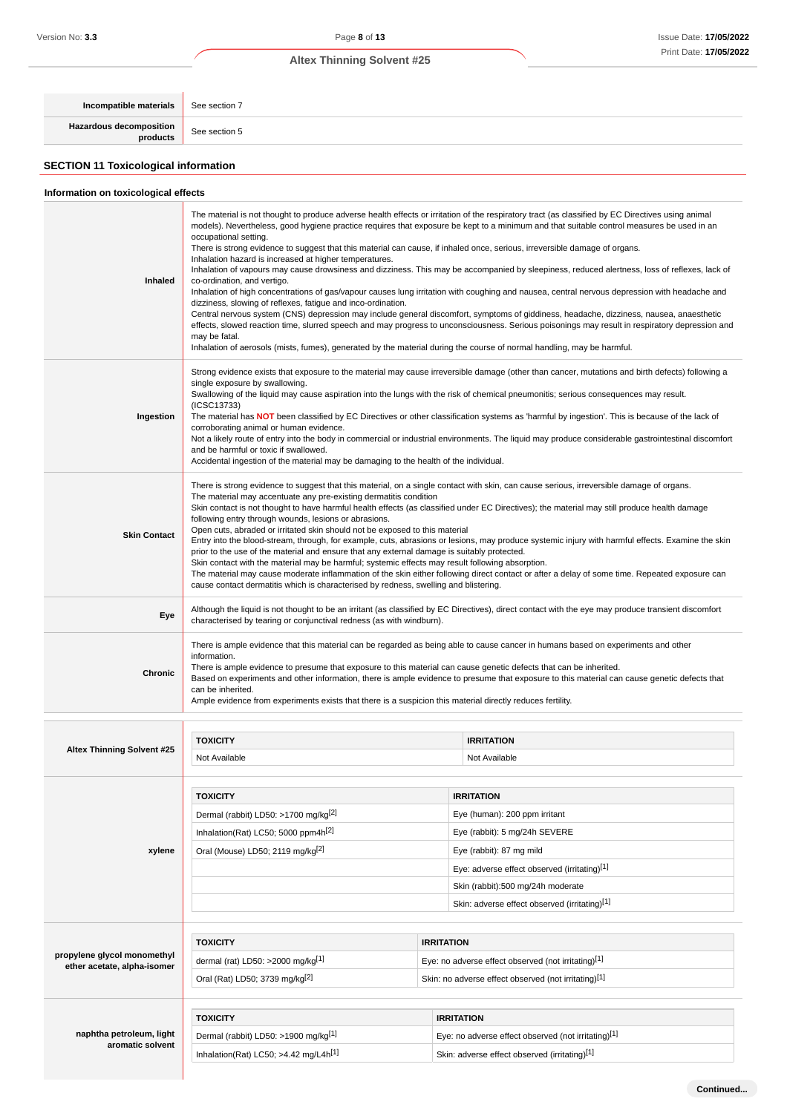**Continued...**

# **Altex Thinning Solvent #25**

**Incompatible materials** See section 7 **Hazardous decomposition** See section 5 **SECTION 11 Toxicological information**

| Information on toxicological effects                       |                                                                                                                                                                                                                                                                                                                                                                                                                                                                                                                                                                                                                                                                                                                                                                                                                                                                                                                                                                                                                                                                                                                                                                                                                                                                                                                                                          |                   |                                                                                                                                                                                                                                                                                                                                                                                                                                                                                                                                                                                                |  |
|------------------------------------------------------------|----------------------------------------------------------------------------------------------------------------------------------------------------------------------------------------------------------------------------------------------------------------------------------------------------------------------------------------------------------------------------------------------------------------------------------------------------------------------------------------------------------------------------------------------------------------------------------------------------------------------------------------------------------------------------------------------------------------------------------------------------------------------------------------------------------------------------------------------------------------------------------------------------------------------------------------------------------------------------------------------------------------------------------------------------------------------------------------------------------------------------------------------------------------------------------------------------------------------------------------------------------------------------------------------------------------------------------------------------------|-------------------|------------------------------------------------------------------------------------------------------------------------------------------------------------------------------------------------------------------------------------------------------------------------------------------------------------------------------------------------------------------------------------------------------------------------------------------------------------------------------------------------------------------------------------------------------------------------------------------------|--|
| Inhaled                                                    | The material is not thought to produce adverse health effects or irritation of the respiratory tract (as classified by EC Directives using animal<br>models). Nevertheless, good hygiene practice requires that exposure be kept to a minimum and that suitable control measures be used in an<br>occupational setting.<br>There is strong evidence to suggest that this material can cause, if inhaled once, serious, irreversible damage of organs.<br>Inhalation hazard is increased at higher temperatures.<br>Inhalation of vapours may cause drowsiness and dizziness. This may be accompanied by sleepiness, reduced alertness, loss of reflexes, lack of<br>co-ordination, and vertigo.<br>Inhalation of high concentrations of gas/vapour causes lung irritation with coughing and nausea, central nervous depression with headache and<br>dizziness, slowing of reflexes, fatigue and inco-ordination.<br>Central nervous system (CNS) depression may include general discomfort, symptoms of giddiness, headache, dizziness, nausea, anaesthetic<br>effects, slowed reaction time, slurred speech and may progress to unconsciousness. Serious poisonings may result in respiratory depression and<br>may be fatal.<br>Inhalation of aerosols (mists, fumes), generated by the material during the course of normal handling, may be harmful. |                   |                                                                                                                                                                                                                                                                                                                                                                                                                                                                                                                                                                                                |  |
| Ingestion                                                  | Strong evidence exists that exposure to the material may cause irreversible damage (other than cancer, mutations and birth defects) following a<br>single exposure by swallowing.<br>Swallowing of the liquid may cause aspiration into the lungs with the risk of chemical pneumonitis; serious consequences may result.<br>(ICSC13733)<br>The material has NOT been classified by EC Directives or other classification systems as 'harmful by ingestion'. This is because of the lack of<br>corroborating animal or human evidence.<br>Not a likely route of entry into the body in commercial or industrial environments. The liquid may produce considerable gastrointestinal discomfort<br>and be harmful or toxic if swallowed.<br>Accidental ingestion of the material may be damaging to the health of the individual.                                                                                                                                                                                                                                                                                                                                                                                                                                                                                                                          |                   |                                                                                                                                                                                                                                                                                                                                                                                                                                                                                                                                                                                                |  |
| <b>Skin Contact</b>                                        | The material may accentuate any pre-existing dermatitis condition<br>following entry through wounds, lesions or abrasions.<br>Open cuts, abraded or irritated skin should not be exposed to this material<br>prior to the use of the material and ensure that any external damage is suitably protected.<br>Skin contact with the material may be harmful; systemic effects may result following absorption.<br>cause contact dermatitis which is characterised by redness, swelling and blistering.                                                                                                                                                                                                                                                                                                                                                                                                                                                                                                                                                                                                                                                                                                                                                                                                                                                     |                   | There is strong evidence to suggest that this material, on a single contact with skin, can cause serious, irreversible damage of organs.<br>Skin contact is not thought to have harmful health effects (as classified under EC Directives); the material may still produce health damage<br>Entry into the blood-stream, through, for example, cuts, abrasions or lesions, may produce systemic injury with harmful effects. Examine the skin<br>The material may cause moderate inflammation of the skin either following direct contact or after a delay of some time. Repeated exposure can |  |
| Eye                                                        | Although the liquid is not thought to be an irritant (as classified by EC Directives), direct contact with the eye may produce transient discomfort<br>characterised by tearing or conjunctival redness (as with windburn).                                                                                                                                                                                                                                                                                                                                                                                                                                                                                                                                                                                                                                                                                                                                                                                                                                                                                                                                                                                                                                                                                                                              |                   |                                                                                                                                                                                                                                                                                                                                                                                                                                                                                                                                                                                                |  |
|                                                            |                                                                                                                                                                                                                                                                                                                                                                                                                                                                                                                                                                                                                                                                                                                                                                                                                                                                                                                                                                                                                                                                                                                                                                                                                                                                                                                                                          |                   |                                                                                                                                                                                                                                                                                                                                                                                                                                                                                                                                                                                                |  |
| Chronic                                                    | information.<br>There is ample evidence to presume that exposure to this material can cause genetic defects that can be inherited.<br>can be inherited.<br>Ample evidence from experiments exists that there is a suspicion this material directly reduces fertility.                                                                                                                                                                                                                                                                                                                                                                                                                                                                                                                                                                                                                                                                                                                                                                                                                                                                                                                                                                                                                                                                                    |                   | There is ample evidence that this material can be regarded as being able to cause cancer in humans based on experiments and other<br>Based on experiments and other information, there is ample evidence to presume that exposure to this material can cause genetic defects that                                                                                                                                                                                                                                                                                                              |  |
|                                                            |                                                                                                                                                                                                                                                                                                                                                                                                                                                                                                                                                                                                                                                                                                                                                                                                                                                                                                                                                                                                                                                                                                                                                                                                                                                                                                                                                          |                   |                                                                                                                                                                                                                                                                                                                                                                                                                                                                                                                                                                                                |  |
|                                                            | <b>TOXICITY</b>                                                                                                                                                                                                                                                                                                                                                                                                                                                                                                                                                                                                                                                                                                                                                                                                                                                                                                                                                                                                                                                                                                                                                                                                                                                                                                                                          |                   | <b>IRRITATION</b>                                                                                                                                                                                                                                                                                                                                                                                                                                                                                                                                                                              |  |
| <b>Altex Thinning Solvent #25</b>                          | Not Available                                                                                                                                                                                                                                                                                                                                                                                                                                                                                                                                                                                                                                                                                                                                                                                                                                                                                                                                                                                                                                                                                                                                                                                                                                                                                                                                            |                   | Not Available                                                                                                                                                                                                                                                                                                                                                                                                                                                                                                                                                                                  |  |
|                                                            |                                                                                                                                                                                                                                                                                                                                                                                                                                                                                                                                                                                                                                                                                                                                                                                                                                                                                                                                                                                                                                                                                                                                                                                                                                                                                                                                                          |                   |                                                                                                                                                                                                                                                                                                                                                                                                                                                                                                                                                                                                |  |
|                                                            | <b>TOXICITY</b>                                                                                                                                                                                                                                                                                                                                                                                                                                                                                                                                                                                                                                                                                                                                                                                                                                                                                                                                                                                                                                                                                                                                                                                                                                                                                                                                          |                   | <b>IRRITATION</b>                                                                                                                                                                                                                                                                                                                                                                                                                                                                                                                                                                              |  |
|                                                            | Dermal (rabbit) LD50: >1700 mg/kg <sup>[2]</sup>                                                                                                                                                                                                                                                                                                                                                                                                                                                                                                                                                                                                                                                                                                                                                                                                                                                                                                                                                                                                                                                                                                                                                                                                                                                                                                         |                   | Eye (human): 200 ppm irritant<br>Eye (rabbit): 5 mg/24h SEVERE                                                                                                                                                                                                                                                                                                                                                                                                                                                                                                                                 |  |
| xylene                                                     | Inhalation(Rat) LC50; 5000 ppm4h <sup>[2]</sup>                                                                                                                                                                                                                                                                                                                                                                                                                                                                                                                                                                                                                                                                                                                                                                                                                                                                                                                                                                                                                                                                                                                                                                                                                                                                                                          |                   | Eye (rabbit): 87 mg mild                                                                                                                                                                                                                                                                                                                                                                                                                                                                                                                                                                       |  |
|                                                            | Oral (Mouse) LD50; 2119 mg/kg <sup>[2]</sup>                                                                                                                                                                                                                                                                                                                                                                                                                                                                                                                                                                                                                                                                                                                                                                                                                                                                                                                                                                                                                                                                                                                                                                                                                                                                                                             |                   | Eye: adverse effect observed (irritating)[1]                                                                                                                                                                                                                                                                                                                                                                                                                                                                                                                                                   |  |
|                                                            |                                                                                                                                                                                                                                                                                                                                                                                                                                                                                                                                                                                                                                                                                                                                                                                                                                                                                                                                                                                                                                                                                                                                                                                                                                                                                                                                                          |                   | Skin (rabbit):500 mg/24h moderate                                                                                                                                                                                                                                                                                                                                                                                                                                                                                                                                                              |  |
|                                                            |                                                                                                                                                                                                                                                                                                                                                                                                                                                                                                                                                                                                                                                                                                                                                                                                                                                                                                                                                                                                                                                                                                                                                                                                                                                                                                                                                          |                   | Skin: adverse effect observed (irritating)[1]                                                                                                                                                                                                                                                                                                                                                                                                                                                                                                                                                  |  |
|                                                            |                                                                                                                                                                                                                                                                                                                                                                                                                                                                                                                                                                                                                                                                                                                                                                                                                                                                                                                                                                                                                                                                                                                                                                                                                                                                                                                                                          |                   |                                                                                                                                                                                                                                                                                                                                                                                                                                                                                                                                                                                                |  |
|                                                            | <b>TOXICITY</b>                                                                                                                                                                                                                                                                                                                                                                                                                                                                                                                                                                                                                                                                                                                                                                                                                                                                                                                                                                                                                                                                                                                                                                                                                                                                                                                                          | <b>IRRITATION</b> |                                                                                                                                                                                                                                                                                                                                                                                                                                                                                                                                                                                                |  |
| propylene glycol monomethyl<br>ether acetate, alpha-isomer | dermal (rat) LD50: $>2000$ mg/kg <sup>[1]</sup>                                                                                                                                                                                                                                                                                                                                                                                                                                                                                                                                                                                                                                                                                                                                                                                                                                                                                                                                                                                                                                                                                                                                                                                                                                                                                                          |                   | Eye: no adverse effect observed (not irritating)[1]                                                                                                                                                                                                                                                                                                                                                                                                                                                                                                                                            |  |
|                                                            | Oral (Rat) LD50; 3739 mg/kg <sup>[2]</sup>                                                                                                                                                                                                                                                                                                                                                                                                                                                                                                                                                                                                                                                                                                                                                                                                                                                                                                                                                                                                                                                                                                                                                                                                                                                                                                               |                   | Skin: no adverse effect observed (not irritating)[1]                                                                                                                                                                                                                                                                                                                                                                                                                                                                                                                                           |  |
|                                                            |                                                                                                                                                                                                                                                                                                                                                                                                                                                                                                                                                                                                                                                                                                                                                                                                                                                                                                                                                                                                                                                                                                                                                                                                                                                                                                                                                          |                   |                                                                                                                                                                                                                                                                                                                                                                                                                                                                                                                                                                                                |  |
|                                                            | <b>TOXICITY</b>                                                                                                                                                                                                                                                                                                                                                                                                                                                                                                                                                                                                                                                                                                                                                                                                                                                                                                                                                                                                                                                                                                                                                                                                                                                                                                                                          |                   | <b>IRRITATION</b>                                                                                                                                                                                                                                                                                                                                                                                                                                                                                                                                                                              |  |
| naphtha petroleum, light<br>aromatic solvent               | Dermal (rabbit) LD50: >1900 mg/kg[1]<br>Inhalation(Rat) LC50; $>4.42$ mg/L4h <sup>[1]</sup>                                                                                                                                                                                                                                                                                                                                                                                                                                                                                                                                                                                                                                                                                                                                                                                                                                                                                                                                                                                                                                                                                                                                                                                                                                                              |                   | Eye: no adverse effect observed (not irritating)[1]<br>Skin: adverse effect observed (irritating)[1]                                                                                                                                                                                                                                                                                                                                                                                                                                                                                           |  |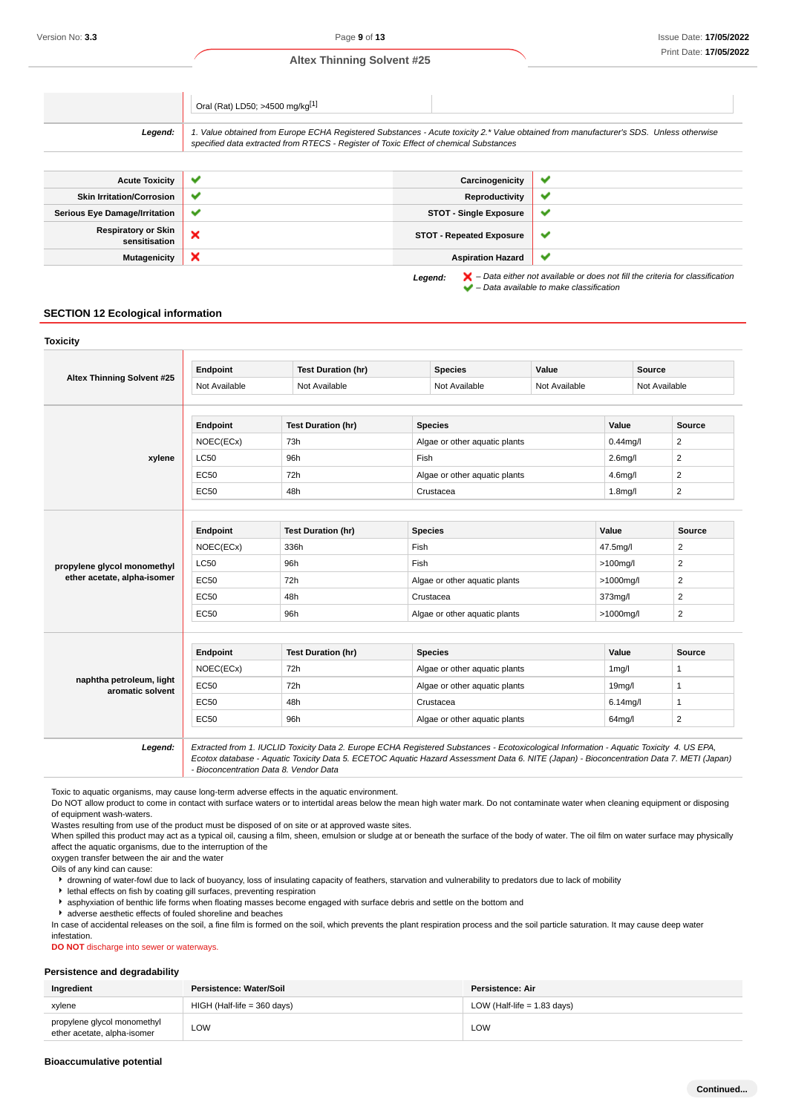|                                             | Oral (Rat) LD50; >4500 mg/kg[1]                                                                                                                                                                                                 |                                 |   |
|---------------------------------------------|---------------------------------------------------------------------------------------------------------------------------------------------------------------------------------------------------------------------------------|---------------------------------|---|
| Legend:                                     | 1. Value obtained from Europe ECHA Registered Substances - Acute toxicity 2.* Value obtained from manufacturer's SDS. Unless otherwise<br>specified data extracted from RTECS - Register of Toxic Effect of chemical Substances |                                 |   |
|                                             |                                                                                                                                                                                                                                 |                                 |   |
| <b>Acute Toxicity</b>                       | $\checkmark$                                                                                                                                                                                                                    | Carcinogenicity                 | v |
| <b>Skin Irritation/Corrosion</b>            | $\checkmark$                                                                                                                                                                                                                    | Reproductivity                  | v |
| <b>Serious Eye Damage/Irritation</b>        | $\checkmark$                                                                                                                                                                                                                    | <b>STOT - Single Exposure</b>   | ✔ |
| <b>Respiratory or Skin</b><br>sensitisation | ×                                                                                                                                                                                                                               | <b>STOT - Repeated Exposure</b> | ✔ |
| <b>Mutagenicity</b>                         | ×                                                                                                                                                                                                                               | <b>Aspiration Hazard</b>        | ັ |

Legend:  $\mathsf{X}$  - Data either not available or does not fill the criteria for classification  $\blacktriangleright$  – Data available to make classification

# **SECTION 12 Ecological information**

| Endpoint                       | <b>Test Duration (hr)</b> | <b>Species</b>                | Value         |                                                                |                |  |
|--------------------------------|---------------------------|-------------------------------|---------------|----------------------------------------------------------------|----------------|--|
| Not Available<br>Not Available |                           | Not Available                 | Not Available |                                                                | Not Available  |  |
| Endpoint                       | <b>Test Duration (hr)</b> | <b>Species</b>                |               | Value                                                          | <b>Source</b>  |  |
| NOEC(ECx)                      | 73h                       | Algae or other aquatic plants |               | $0.44$ mg/l                                                    | 2              |  |
| <b>LC50</b>                    | 96h                       | Fish                          |               | $2.6$ mg/l                                                     | $\overline{c}$ |  |
| EC50                           | 72h                       |                               |               | 4.6 <sub>mq</sub> /I                                           | $\overline{2}$ |  |
| EC50                           | 48h                       | Crustacea                     |               | 1.8 <sub>mq</sub> /I                                           | $\overline{c}$ |  |
|                                |                           |                               |               |                                                                |                |  |
| Endpoint                       | <b>Test Duration (hr)</b> | <b>Species</b>                |               | Value                                                          | <b>Source</b>  |  |
| NOEC(ECx)                      | 336h                      | Fish                          |               | 47.5mg/l                                                       | $\overline{c}$ |  |
| <b>LC50</b>                    | 96h                       | Fish                          |               | $>100$ mg/l                                                    | $\overline{2}$ |  |
| EC50                           | 72h                       |                               |               | $>1000$ mg/l                                                   | 2              |  |
| EC50                           | 48h                       | Crustacea                     |               | 373mg/l                                                        | 2              |  |
| EC50                           | 96h                       | Algae or other aquatic plants |               | $>1000$ mg/l                                                   | $\overline{2}$ |  |
|                                |                           |                               |               |                                                                |                |  |
| Endpoint                       | <b>Test Duration (hr)</b> | <b>Species</b>                |               | Value                                                          | <b>Source</b>  |  |
| NOEC(ECx)                      | 72h                       | Algae or other aquatic plants |               | $1$ mg/ $\overline{1}$                                         | $\mathbf{1}$   |  |
| EC50                           | 72h                       | Algae or other aquatic plants |               | 19 <sub>mq</sub> /I                                            | 1              |  |
| <b>EC50</b>                    | 48h                       | Crustacea                     |               | $6.14$ mg/l                                                    | $\mathbf{1}$   |  |
|                                |                           | Algae or other aquatic plants |               |                                                                |                |  |
|                                |                           |                               |               | Algae or other aquatic plants<br>Algae or other aquatic plants | <b>Source</b>  |  |

Toxic to aquatic organisms, may cause long-term adverse effects in the aquatic environment.

Do NOT allow product to come in contact with surface waters or to intertidal areas below the mean high water mark. Do not contaminate water when cleaning equipment or disposing of equipment wash-waters.

Wastes resulting from use of the product must be disposed of on site or at approved waste sites.

When spilled this product may act as a typical oil, causing a film, sheen, emulsion or sludge at or beneath the surface of the body of water. The oil film on water surface may physically affect the aquatic organisms, due to the interruption of the

oxygen transfer between the air and the water

Oils of any kind can cause:

drowning of water-fowl due to lack of buoyancy, loss of insulating capacity of feathers, starvation and vulnerability to predators due to lack of mobility

 $\blacktriangleright$  lethal effects on fish by coating gill surfaces, preventing respiration

asphyxiation of benthic life forms when floating masses become engaged with surface debris and settle on the bottom and

adverse aesthetic effects of fouled shoreline and beaches

In case of accidental releases on the soil, a fine film is formed on the soil, which prevents the plant respiration process and the soil particle saturation. It may cause deep water infestation.

**DO NOT** discharge into sewer or waterways.

#### **Persistence and degradability**

| Ingredient                                                 | Persistence: Water/Soil       | <b>Persistence: Air</b>       |
|------------------------------------------------------------|-------------------------------|-------------------------------|
| xylene                                                     | $HIGH$ (Half-life = 360 days) | LOW (Half-life $= 1.83$ days) |
| propylene glycol monomethyl<br>ether acetate, alpha-isomer | LOW                           | LOW                           |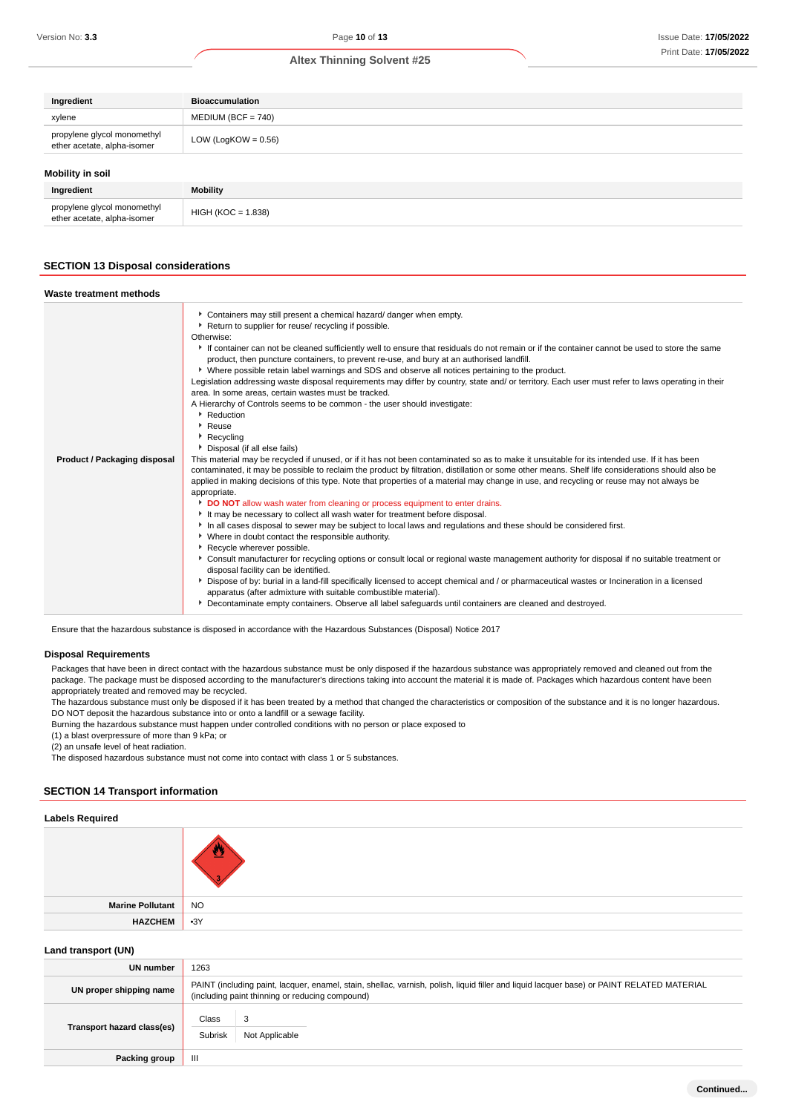| Ingredient                                                 | <b>Bioaccumulation</b> |
|------------------------------------------------------------|------------------------|
| xylene                                                     | $MEDIUM (BCF = 740)$   |
| propylene glycol monomethyl<br>ether acetate, alpha-isomer | LOW (LogKOW = $0.56$ ) |
| Mobility in soil                                           |                        |
| Ingredient                                                 | <b>Mobility</b>        |

# **SECTION 13 Disposal considerations**

propylene glycol monomethyl<br>ether acetate, alpha-isomer HIGH (KOC = 1.838)

propylene glycol monomethyl

| Waste treatment methods             |                                                                                                                                                                                                                                                                                                                                                                                                                                                                                                                                                                                                                                                                                                                                                                                                                                                                                                                                                                                                                                                                                                                                                                                                                                                                                                                                                                                                                                                                                                                                                                                                                                                                                                                                                                                                                                                                                                                                                                                                                                                                                                                                                                                                                                 |
|-------------------------------------|---------------------------------------------------------------------------------------------------------------------------------------------------------------------------------------------------------------------------------------------------------------------------------------------------------------------------------------------------------------------------------------------------------------------------------------------------------------------------------------------------------------------------------------------------------------------------------------------------------------------------------------------------------------------------------------------------------------------------------------------------------------------------------------------------------------------------------------------------------------------------------------------------------------------------------------------------------------------------------------------------------------------------------------------------------------------------------------------------------------------------------------------------------------------------------------------------------------------------------------------------------------------------------------------------------------------------------------------------------------------------------------------------------------------------------------------------------------------------------------------------------------------------------------------------------------------------------------------------------------------------------------------------------------------------------------------------------------------------------------------------------------------------------------------------------------------------------------------------------------------------------------------------------------------------------------------------------------------------------------------------------------------------------------------------------------------------------------------------------------------------------------------------------------------------------------------------------------------------------|
| <b>Product / Packaging disposal</b> | Containers may still present a chemical hazard/ danger when empty.<br>Return to supplier for reuse/ recycling if possible.<br>Otherwise:<br>If container can not be cleaned sufficiently well to ensure that residuals do not remain or if the container cannot be used to store the same<br>product, then puncture containers, to prevent re-use, and bury at an authorised landfill.<br>▶ Where possible retain label warnings and SDS and observe all notices pertaining to the product.<br>Legislation addressing waste disposal requirements may differ by country, state and/ or territory. Each user must refer to laws operating in their<br>area. In some areas, certain wastes must be tracked.<br>A Hierarchy of Controls seems to be common - the user should investigate:<br>▶ Reduction<br>▶ Reuse<br>▶ Recycling<br>Disposal (if all else fails)<br>This material may be recycled if unused, or if it has not been contaminated so as to make it unsuitable for its intended use. If it has been<br>contaminated, it may be possible to reclaim the product by filtration, distillation or some other means. Shelf life considerations should also be<br>applied in making decisions of this type. Note that properties of a material may change in use, and recycling or reuse may not always be<br>appropriate.<br>DO NOT allow wash water from cleaning or process equipment to enter drains.<br>It may be necessary to collect all wash water for treatment before disposal.<br>In all cases disposal to sewer may be subject to local laws and regulations and these should be considered first.<br>• Where in doubt contact the responsible authority.<br>Recycle wherever possible.<br>▶ Consult manufacturer for recycling options or consult local or regional waste management authority for disposal if no suitable treatment or<br>disposal facility can be identified.<br>Dispose of by: burial in a land-fill specifically licensed to accept chemical and / or pharmaceutical wastes or Incineration in a licensed<br>apparatus (after admixture with suitable combustible material).<br>Decontaminate empty containers. Observe all label safeguards until containers are cleaned and destroyed. |

Ensure that the hazardous substance is disposed in accordance with the Hazardous Substances (Disposal) Notice 2017

#### **Disposal Requirements**

Packages that have been in direct contact with the hazardous substance must be only disposed if the hazardous substance was appropriately removed and cleaned out from the package. The package must be disposed according to the manufacturer's directions taking into account the material it is made of. Packages which hazardous content have been appropriately treated and removed may be recycled.

The hazardous substance must only be disposed if it has been treated by a method that changed the characteristics or composition of the substance and it is no longer hazardous. DO NOT deposit the hazardous substance into or onto a landfill or a sewage facility.

Burning the hazardous substance must happen under controlled conditions with no person or place exposed to

(1) a blast overpressure of more than 9 kPa; or

(2) an unsafe level of heat radiation.

The disposed hazardous substance must not come into contact with class 1 or 5 substances.

# **SECTION 14 Transport information**

### **Labels Required**

| Marine Pollutant NO |  |
|---------------------|--|
| HAZCHEM 3Y          |  |

#### **Land transport (UN)**

| Lally transport (ON)       |                                                                                                                                                                                               |
|----------------------------|-----------------------------------------------------------------------------------------------------------------------------------------------------------------------------------------------|
| UN number                  | 1263                                                                                                                                                                                          |
| UN proper shipping name    | PAINT (including paint, lacquer, enamel, stain, shellac, varnish, polish, liquid filler and liquid lacquer base) or PAINT RELATED MATERIAL<br>(including paint thinning or reducing compound) |
| Transport hazard class(es) | Class<br>Subrisk<br>Not Applicable                                                                                                                                                            |
| Packing group              | Ш                                                                                                                                                                                             |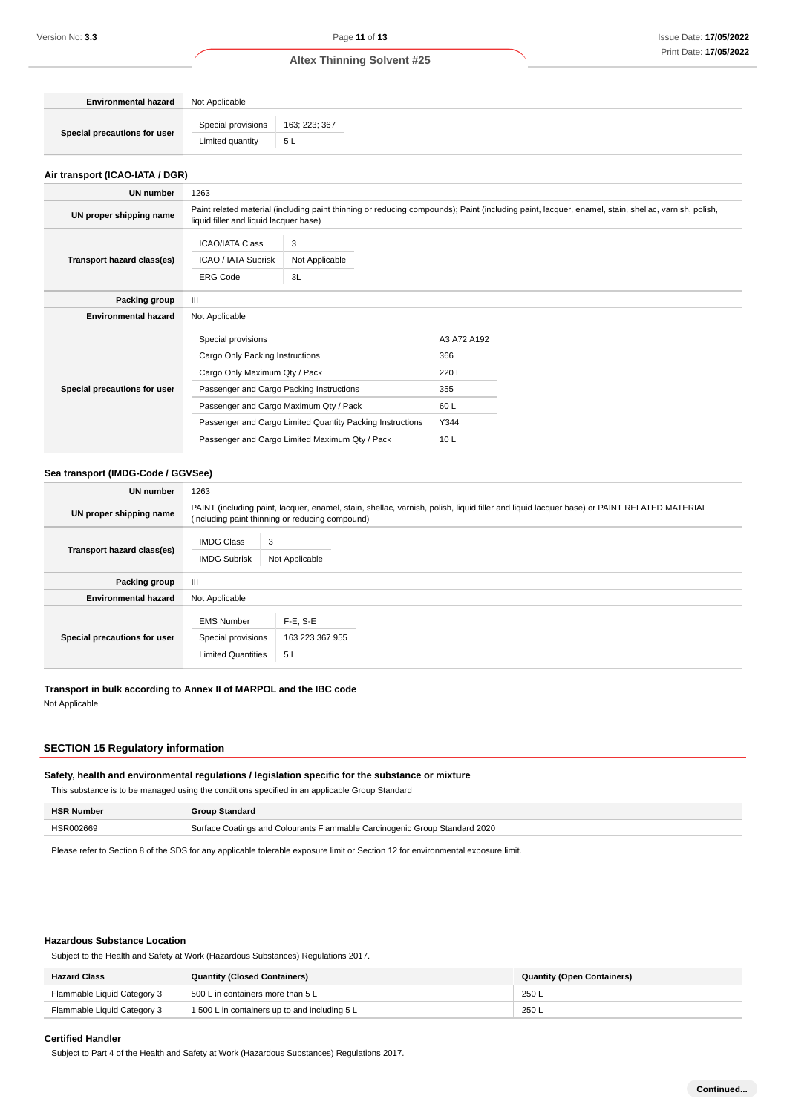| <b>Environmental hazard</b>  | Not Applicable     |               |
|------------------------------|--------------------|---------------|
|                              | Special provisions | 163; 223; 367 |
| Special precautions for user | Limited quantity   | 5 L           |

# **Air transport (ICAO-IATA / DGR)**

| UN number                    | 1263                                                                                                                                                                                                                                                                                        |  |                                                                       |  |  |
|------------------------------|---------------------------------------------------------------------------------------------------------------------------------------------------------------------------------------------------------------------------------------------------------------------------------------------|--|-----------------------------------------------------------------------|--|--|
| UN proper shipping name      | Paint related material (including paint thinning or reducing compounds); Paint (including paint, lacquer, enamel, stain, shellac, varnish, polish,<br>liquid filler and liquid lacquer base)                                                                                                |  |                                                                       |  |  |
| Transport hazard class(es)   | 3<br><b>ICAO/IATA Class</b><br>Not Applicable<br>ICAO / IATA Subrisk<br><b>ERG Code</b><br>3L                                                                                                                                                                                               |  |                                                                       |  |  |
| Packing group                | III                                                                                                                                                                                                                                                                                         |  |                                                                       |  |  |
| <b>Environmental hazard</b>  | Not Applicable                                                                                                                                                                                                                                                                              |  |                                                                       |  |  |
| Special precautions for user | Special provisions<br>Cargo Only Packing Instructions<br>Cargo Only Maximum Qty / Pack<br>Passenger and Cargo Packing Instructions<br>Passenger and Cargo Maximum Qty / Pack<br>Passenger and Cargo Limited Quantity Packing Instructions<br>Passenger and Cargo Limited Maximum Qty / Pack |  | A3 A72 A192<br>366<br>220 L<br>355<br>60 L<br>Y344<br>10 <sub>L</sub> |  |  |

#### **Sea transport (IMDG-Code / GGVSee)**

| UN number                    | 1263                                                                                                                                                                                          |                                      |  |
|------------------------------|-----------------------------------------------------------------------------------------------------------------------------------------------------------------------------------------------|--------------------------------------|--|
| UN proper shipping name      | PAINT (including paint, lacquer, enamel, stain, shellac, varnish, polish, liquid filler and liquid lacquer base) or PAINT RELATED MATERIAL<br>(including paint thinning or reducing compound) |                                      |  |
| Transport hazard class(es)   | <b>IMDG Class</b><br><b>IMDG Subrisk</b>                                                                                                                                                      | 3<br>Not Applicable                  |  |
| Packing group                | Ш                                                                                                                                                                                             |                                      |  |
| <b>Environmental hazard</b>  | Not Applicable                                                                                                                                                                                |                                      |  |
| Special precautions for user | <b>EMS Number</b><br>Special provisions<br><b>Limited Quantities</b>                                                                                                                          | $F-E, S-E$<br>163 223 367 955<br>5 L |  |

**Transport in bulk according to Annex II of MARPOL and the IBC code** Not Applicable

# **SECTION 15 Regulatory information**

#### **Safety, health and environmental regulations / legislation specific for the substance or mixture**

This substance is to be managed using the conditions specified in an applicable Group Standard

| <b>HSR Number</b> | Group Standard                                                             |
|-------------------|----------------------------------------------------------------------------|
| HSR002669         | Surface Coatings and Colourants Flammable Carcinogenic Group Standard 2020 |

Please refer to Section 8 of the SDS for any applicable tolerable exposure limit or Section 12 for environmental exposure limit.

#### **Hazardous Substance Location**

Subject to the Health and Safety at Work (Hazardous Substances) Regulations 2017.

| <b>Hazard Class</b>         | <b>Quantity (Closed Containers)</b>           | <b>Quantity (Open Containers)</b> |
|-----------------------------|-----------------------------------------------|-----------------------------------|
| Flammable Liquid Category 3 | 500 L in containers more than 5 L             | 250 L                             |
| Flammable Liquid Category 3 | 1 500 L in containers up to and including 5 L | 250L                              |

#### **Certified Handler**

Subject to Part 4 of the Health and Safety at Work (Hazardous Substances) Regulations 2017.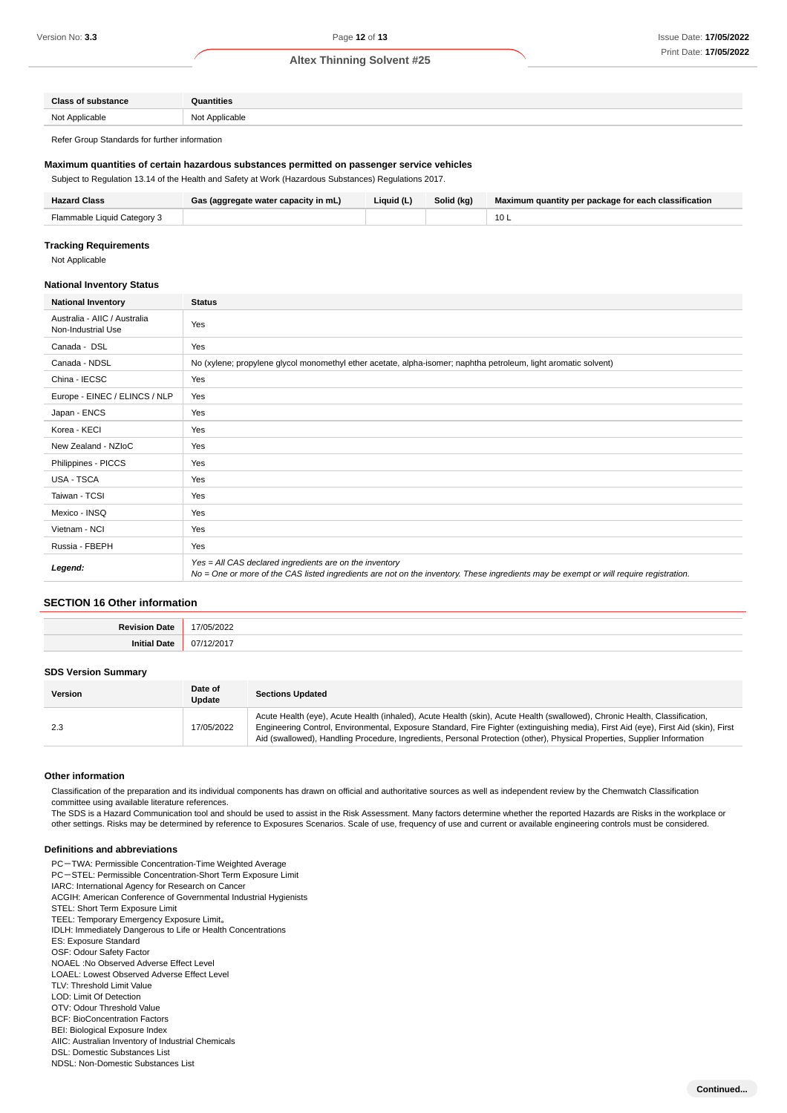| <b>Class of substance</b>    | <b>Pulled</b> intervals    |
|------------------------------|----------------------------|
| Not Applicable<br>11017<br>. | : Applicable<br>NM+<br>טיי |

Refer Group Standards for further information

#### **Maximum quantities of certain hazardous substances permitted on passenger service vehicles**

Subject to Regulation 13.14 of the Health and Safety at Work (Hazardous Substances) Regulations 2017.

| <b>Hazard Class</b>         | Gas (aggregate water capacity in mL) | Liquid (L) | Solid (kg) | Maximum quantity per package for each classification |
|-----------------------------|--------------------------------------|------------|------------|------------------------------------------------------|
| Flammable Liquid Category 3 |                                      |            |            | 10 L                                                 |

#### **Tracking Requirements**

Not Applicable

#### **National Inventory Status**

| <b>National Inventory</b>                          | <b>Status</b>                                                                                                                                                                                     |  |
|----------------------------------------------------|---------------------------------------------------------------------------------------------------------------------------------------------------------------------------------------------------|--|
| Australia - AIIC / Australia<br>Non-Industrial Use | Yes                                                                                                                                                                                               |  |
| Canada - DSL                                       | Yes                                                                                                                                                                                               |  |
| Canada - NDSL                                      | No (xylene; propylene glycol monomethyl ether acetate, alpha-isomer; naphtha petroleum, light aromatic solvent)                                                                                   |  |
| China - IECSC                                      | Yes                                                                                                                                                                                               |  |
| Europe - EINEC / ELINCS / NLP                      | Yes                                                                                                                                                                                               |  |
| Japan - ENCS                                       | Yes                                                                                                                                                                                               |  |
| Korea - KECI                                       | Yes                                                                                                                                                                                               |  |
| New Zealand - NZIoC                                | Yes                                                                                                                                                                                               |  |
| Philippines - PICCS                                | Yes                                                                                                                                                                                               |  |
| <b>USA - TSCA</b>                                  | Yes                                                                                                                                                                                               |  |
| Taiwan - TCSI                                      | Yes                                                                                                                                                                                               |  |
| Mexico - INSQ                                      | Yes                                                                                                                                                                                               |  |
| Vietnam - NCI                                      | Yes                                                                                                                                                                                               |  |
| Russia - FBEPH                                     | Yes                                                                                                                                                                                               |  |
| Legend:                                            | Yes = All CAS declared ingredients are on the inventory<br>No = One or more of the CAS listed ingredients are not on the inventory. These ingredients may be exempt or will require registration. |  |

# **SECTION 16 Other information**

| $\overline{\mathcal{L}}$<br>л.<br>. |
|-------------------------------------|

### **SDS Version Summary**

| <b>Version</b> | Date of<br>Update | <b>Sections Updated</b>                                                                                                                                                                                                                                                                                                                                                                       |
|----------------|-------------------|-----------------------------------------------------------------------------------------------------------------------------------------------------------------------------------------------------------------------------------------------------------------------------------------------------------------------------------------------------------------------------------------------|
| 2.3            | 17/05/2022        | Acute Health (eye), Acute Health (inhaled), Acute Health (skin), Acute Health (swallowed), Chronic Health, Classification,<br>Engineering Control, Environmental, Exposure Standard, Fire Fighter (extinguishing media), First Aid (eye), First Aid (skin), First<br>Aid (swallowed), Handling Procedure, Ingredients, Personal Protection (other), Physical Properties, Supplier Information |

#### **Other information**

Classification of the preparation and its individual components has drawn on official and authoritative sources as well as independent review by the Chemwatch Classification committee using available literature references.

The SDS is a Hazard Communication tool and should be used to assist in the Risk Assessment. Many factors determine whether the reported Hazards are Risks in the workplace or other settings. Risks may be determined by reference to Exposures Scenarios. Scale of use, frequency of use and current or available engineering controls must be considered.

#### **Definitions and abbreviations**

PC-TWA: Permissible Concentration-Time Weighted Average

- PC-STEL: Permissible Concentration-Short Term Exposure Limit
- IARC: International Agency for Research on Cancer
- ACGIH: American Conference of Governmental Industrial Hygienists

STEL: Short Term Exposure Limit

TEEL: Temporary Emergency Exposure Limit。

IDLH: Immediately Dangerous to Life or Health Concentrations

ES: Exposure Standard

OSF: Odour Safety Factor

NOAEL :No Observed Adverse Effect Level

LOAEL: Lowest Observed Adverse Effect Level

- TLV: Threshold Limit Value
- LOD: Limit Of Detection OTV: Odour Threshold Value
- BCF: BioConcentration Factors
- BEI: Biological Exposure Index
- AIIC: Australian Inventory of Industrial Chemicals
- DSL: Domestic Substances List
- NDSL: Non-Domestic Substances List